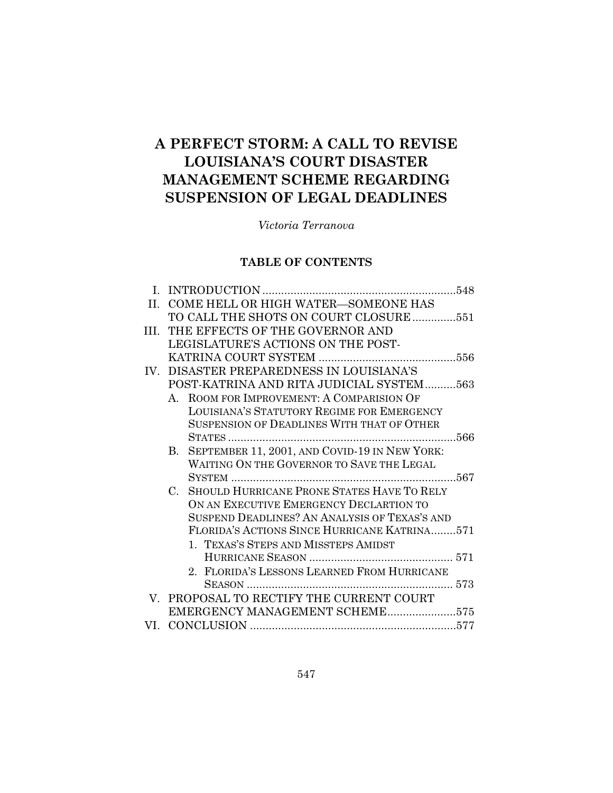# **A PERFECT STORM: A CALL TO REVISE LOUISIANA'S COURT DISASTER MANAGEMENT SCHEME REGARDING SUSPENSION OF LEGAL DEADLINES**

*Victoria Terranova*

# **TABLE OF CONTENTS**

|     |             | I. INTRODUCTION                                   |  |
|-----|-------------|---------------------------------------------------|--|
| II. |             | COME HELL OR HIGH WATER-SOMEONE HAS               |  |
|     |             | TO CALL THE SHOTS ON COURT CLOSURE 551            |  |
|     |             | III. THE EFFECTS OF THE GOVERNOR AND              |  |
|     |             | LEGISLATURE'S ACTIONS ON THE POST-                |  |
|     |             |                                                   |  |
|     |             | IV. DISASTER PREPAREDNESS IN LOUISIANA'S          |  |
|     |             | POST-KATRINA AND RITA JUDICIAL SYSTEM563          |  |
|     | $A_{\cdot}$ | ROOM FOR IMPROVEMENT: A COMPARISION OF            |  |
|     |             | LOUISIANA'S STATUTORY REGIME FOR EMERGENCY        |  |
|     |             | <b>SUSPENSION OF DEADLINES WITH THAT OF OTHER</b> |  |
|     |             | <b>STATES</b>                                     |  |
|     |             | B. SEPTEMBER 11, 2001, AND COVID-19 IN NEW YORK:  |  |
|     |             | WAITING ON THE GOVERNOR TO SAVE THE LEGAL         |  |
|     |             | . 567<br><b>SYSTEM</b>                            |  |
|     | C.          | SHOULD HURRICANE PRONE STATES HAVE TO RELY        |  |
|     |             | ON AN EXECUTIVE EMERGENCY DECLARTION TO           |  |
|     |             | SUSPEND DEADLINES? AN ANALYSIS OF TEXAS'S AND     |  |
|     |             | FLORIDA'S ACTIONS SINCE HURRICANE KATRINA571      |  |
|     |             | 1. TEXAS'S STEPS AND MISSTEPS AMIDST              |  |
|     |             |                                                   |  |
|     |             | 2. FLORIDA'S LESSONS LEARNED FROM HURRICANE       |  |
|     |             |                                                   |  |
|     |             | V. PROPOSAL TO RECTIFY THE CURRENT COURT          |  |
|     |             | EMERGENCY MANAGEMENT SCHEME575                    |  |
| VI. |             |                                                   |  |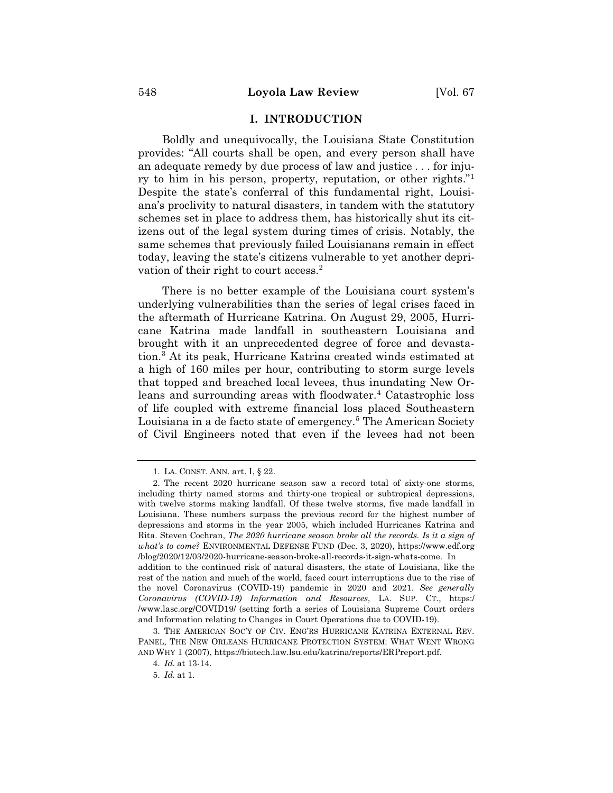## **I. INTRODUCTION**

Boldly and unequivocally, the Louisiana State Constitution provides: "All courts shall be open, and every person shall have an adequate remedy by due process of law and justice . . . for injury to him in his person, property, reputation, or other rights."1 Despite the state's conferral of this fundamental right, Louisiana's proclivity to natural disasters, in tandem with the statutory schemes set in place to address them, has historically shut its citizens out of the legal system during times of crisis. Notably, the same schemes that previously failed Louisianans remain in effect today, leaving the state's citizens vulnerable to yet another deprivation of their right to court access.<sup>2</sup>

There is no better example of the Louisiana court system's underlying vulnerabilities than the series of legal crises faced in the aftermath of Hurricane Katrina. On August 29, 2005, Hurricane Katrina made landfall in southeastern Louisiana and brought with it an unprecedented degree of force and devastation.3 At its peak, Hurricane Katrina created winds estimated at a high of 160 miles per hour, contributing to storm surge levels that topped and breached local levees, thus inundating New Orleans and surrounding areas with floodwater.<sup>4</sup> Catastrophic loss of life coupled with extreme financial loss placed Southeastern Louisiana in a de facto state of emergency.<sup>5</sup> The American Society of Civil Engineers noted that even if the levees had not been

rest of the nation and much of the world, faced court interruptions due to the rise of the novel Coronavirus (COVID-19) pandemic in 2020 and 2021. *See generally Coronavirus (COVID-19) Information and Resources*, LA. SUP. CT., https:/ /www.lasc.org/COVID19/ (setting forth a series of Louisiana Supreme Court orders and Information relating to Changes in Court Operations due to COVID-19).

3. THE AMERICAN SOC'Y OF CIV. ENG'RS HURRICANE KATRINA EXTERNAL REV. PANEL, THE NEW ORLEANS HURRICANE PROTECTION SYSTEM: WHAT WENT WRONG AND WHY 1 (2007), https://biotech.law.lsu.edu/katrina/reports/ERPreport.pdf.

<sup>1.</sup> LA. CONST. ANN. art. I, § 22.

<sup>2.</sup> The recent 2020 hurricane season saw a record total of sixty-one storms, including thirty named storms and thirty-one tropical or subtropical depressions, with twelve storms making landfall. Of these twelve storms, five made landfall in Louisiana. These numbers surpass the previous record for the highest number of depressions and storms in the year 2005, which included Hurricanes Katrina and Rita. Steven Cochran, *The 2020 hurricane season broke all the records. Is it a sign of what's to come?* ENVIRONMENTAL DEFENSE FUND (Dec. 3, 2020), https://www.edf.org /blog/2020/12/03/2020-hurricane-season-broke-all-records-it-sign-whats-come. In addition to the continued risk of natural disasters, the state of Louisiana, like the

<sup>4.</sup> *Id.* at 13-14.

<sup>5.</sup> *Id.* at 1.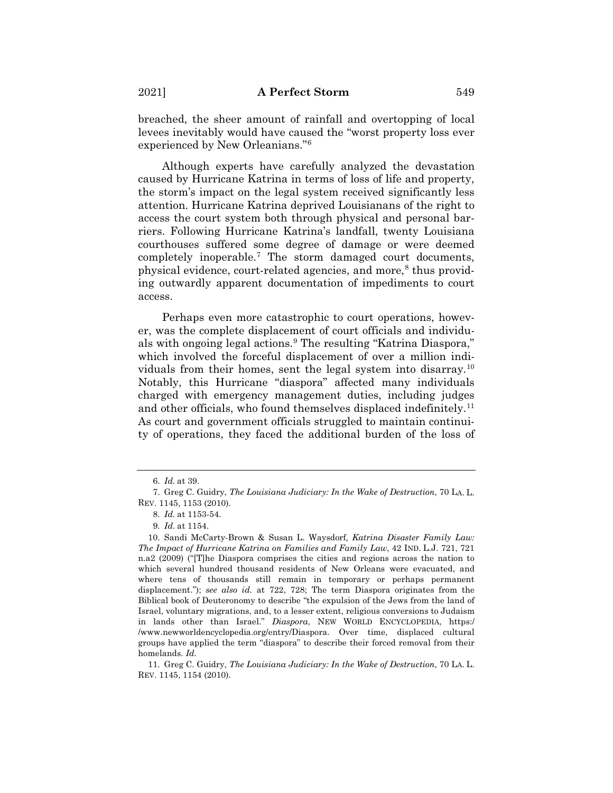breached, the sheer amount of rainfall and overtopping of local levees inevitably would have caused the "worst property loss ever experienced by New Orleanians."6

Although experts have carefully analyzed the devastation caused by Hurricane Katrina in terms of loss of life and property, the storm's impact on the legal system received significantly less attention. Hurricane Katrina deprived Louisianans of the right to access the court system both through physical and personal barriers. Following Hurricane Katrina's landfall, twenty Louisiana courthouses suffered some degree of damage or were deemed completely inoperable.7 The storm damaged court documents, physical evidence, court-related agencies, and more,<sup>8</sup> thus providing outwardly apparent documentation of impediments to court access.

Perhaps even more catastrophic to court operations, however, was the complete displacement of court officials and individuals with ongoing legal actions.9 The resulting "Katrina Diaspora," which involved the forceful displacement of over a million individuals from their homes, sent the legal system into disarray.10 Notably, this Hurricane "diaspora" affected many individuals charged with emergency management duties, including judges and other officials, who found themselves displaced indefinitely.<sup>11</sup> As court and government officials struggled to maintain continuity of operations, they faced the additional burden of the loss of

<sup>6.</sup> *Id.* at 39.

<sup>7.</sup> Greg C. Guidry, *The Louisiana Judiciary: In the Wake of Destruction*, 70 LA. L. REV. 1145, 1153 (2010).

<sup>8.</sup> *Id.* at 1153-54.

<sup>9</sup>*. Id.* at 1154.

<sup>10.</sup> Sandi McCarty-Brown & Susan L. Waysdorf*, Katrina Disaster Family Law: The Impact of Hurricane Katrina on Families and Family Law*, 42 IND. L.J. 721, 721 n.a2 (2009) ("[T]he Diaspora comprises the cities and regions across the nation to which several hundred thousand residents of New Orleans were evacuated, and where tens of thousands still remain in temporary or perhaps permanent displacement."); *see also id.* at 722, 728; The term Diaspora originates from the Biblical book of Deuteronomy to describe "the expulsion of the Jews from the land of Israel, voluntary migrations, and, to a lesser extent, religious conversions to Judaism in lands other than Israel." *Diaspora*, NEW WORLD ENCYCLOPEDIA, https:/ /www.newworldencyclopedia.org/entry/Diaspora. Over time, displaced cultural groups have applied the term "diaspora" to describe their forced removal from their homelands. *Id.*

<sup>11.</sup> Greg C. Guidry, *The Louisiana Judiciary: In the Wake of Destruction*, 70 LA. L. REV. 1145, 1154 (2010).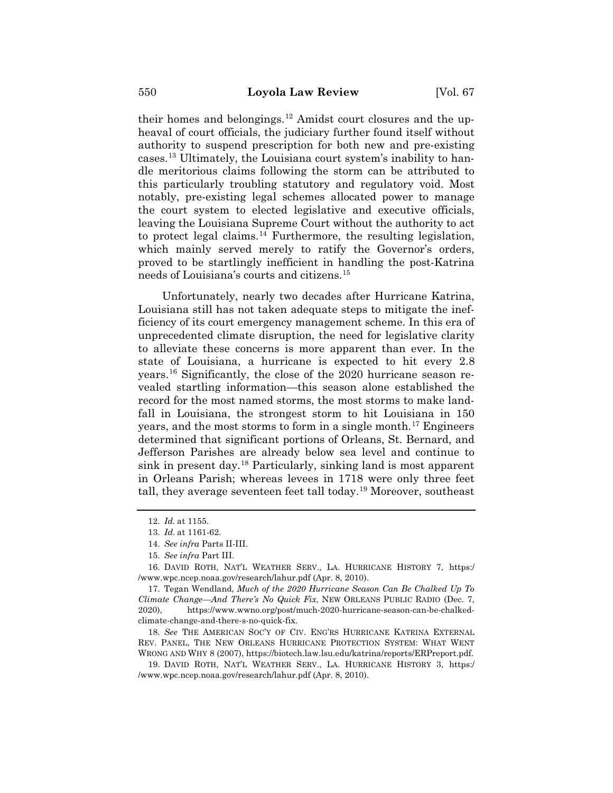their homes and belongings.<sup>12</sup> Amidst court closures and the upheaval of court officials, the judiciary further found itself without authority to suspend prescription for both new and pre-existing cases.13 Ultimately, the Louisiana court system's inability to handle meritorious claims following the storm can be attributed to this particularly troubling statutory and regulatory void. Most notably, pre-existing legal schemes allocated power to manage the court system to elected legislative and executive officials, leaving the Louisiana Supreme Court without the authority to act to protect legal claims.14 Furthermore, the resulting legislation, which mainly served merely to ratify the Governor's orders, proved to be startlingly inefficient in handling the post-Katrina needs of Louisiana's courts and citizens.15

Unfortunately, nearly two decades after Hurricane Katrina, Louisiana still has not taken adequate steps to mitigate the inefficiency of its court emergency management scheme. In this era of unprecedented climate disruption, the need for legislative clarity to alleviate these concerns is more apparent than ever. In the state of Louisiana, a hurricane is expected to hit every 2.8 years.16 Significantly, the close of the 2020 hurricane season revealed startling information—this season alone established the record for the most named storms, the most storms to make landfall in Louisiana, the strongest storm to hit Louisiana in 150 years, and the most storms to form in a single month.17 Engineers determined that significant portions of Orleans, St. Bernard, and Jefferson Parishes are already below sea level and continue to sink in present day.18 Particularly, sinking land is most apparent in Orleans Parish; whereas levees in 1718 were only three feet tall, they average seventeen feet tall today.19 Moreover, southeast

18. *See* THE AMERICAN SOC'Y OF CIV. ENG'RS HURRICANE KATRINA EXTERNAL REV. PANEL, THE NEW ORLEANS HURRICANE PROTECTION SYSTEM: WHAT WENT WRONG AND WHY 8 (2007), https://biotech.law.lsu.edu/katrina/reports/ERPreport.pdf.

19. DAVID ROTH, NAT'L WEATHER SERV., LA. HURRICANE HISTORY 3, https:/ /www.wpc.ncep.noaa.gov/research/lahur.pdf (Apr. 8, 2010).

<sup>12.</sup> *Id.* at 1155.

<sup>13.</sup> *Id.* at 1161-62.

<sup>14.</sup> *See infra* Parts II-III.

<sup>15.</sup> *See infra* Part III.

<sup>16.</sup> DAVID ROTH, NAT'L WEATHER SERV., LA. HURRICANE HISTORY 7, https:/ /www.wpc.ncep.noaa.gov/research/lahur.pdf (Apr. 8, 2010).

<sup>17.</sup> Tegan Wendland, *Much of the 2020 Hurricane Season Can Be Chalked Up To Climate Change—And There's No Quick Fix*, NEW ORLEANS PUBLIC RADIO (Dec. 7, 2020), https://www.wwno.org/post/much-2020-hurricane-season-can-be-chalkedclimate-change-and-there-s-no-quick-fix.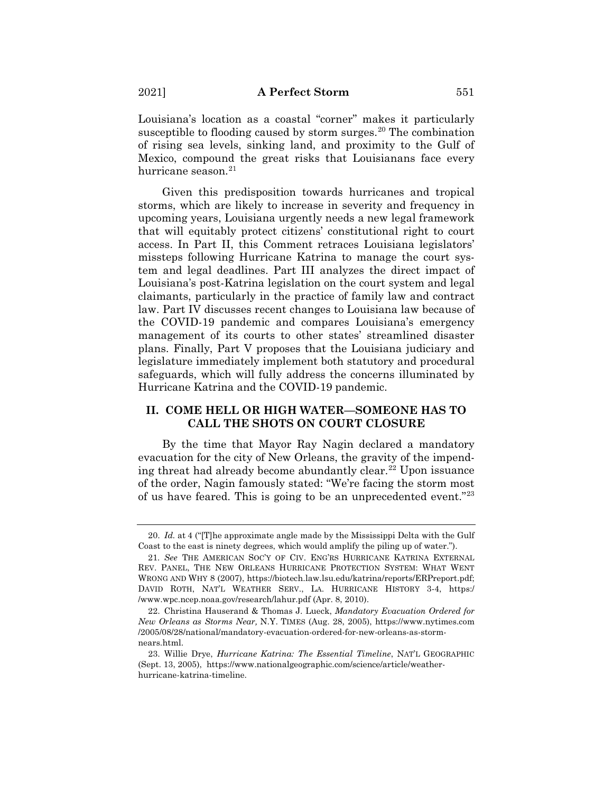Louisiana's location as a coastal "corner" makes it particularly susceptible to flooding caused by storm surges. $20$  The combination of rising sea levels, sinking land, and proximity to the Gulf of Mexico, compound the great risks that Louisianans face every hurricane season.<sup>21</sup>

Given this predisposition towards hurricanes and tropical storms, which are likely to increase in severity and frequency in upcoming years, Louisiana urgently needs a new legal framework that will equitably protect citizens' constitutional right to court access. In Part II, this Comment retraces Louisiana legislators' missteps following Hurricane Katrina to manage the court system and legal deadlines. Part III analyzes the direct impact of Louisiana's post-Katrina legislation on the court system and legal claimants, particularly in the practice of family law and contract law. Part IV discusses recent changes to Louisiana law because of the COVID-19 pandemic and compares Louisiana's emergency management of its courts to other states' streamlined disaster plans. Finally, Part V proposes that the Louisiana judiciary and legislature immediately implement both statutory and procedural safeguards, which will fully address the concerns illuminated by Hurricane Katrina and the COVID-19 pandemic.

## **II. COME HELL OR HIGH WATER—SOMEONE HAS TO CALL THE SHOTS ON COURT CLOSURE**

By the time that Mayor Ray Nagin declared a mandatory evacuation for the city of New Orleans, the gravity of the impending threat had already become abundantly clear.<sup>22</sup> Upon issuance of the order, Nagin famously stated: "We're facing the storm most of us have feared. This is going to be an unprecedented event."23

<sup>20.</sup> *Id.* at 4 ("[T]he approximate angle made by the Mississippi Delta with the Gulf Coast to the east is ninety degrees, which would amplify the piling up of water.").

<sup>21</sup>*. See* THE AMERICAN SOC'Y OF CIV. ENG'RS HURRICANE KATRINA EXTERNAL REV. PANEL, THE NEW ORLEANS HURRICANE PROTECTION SYSTEM: WHAT WENT WRONG AND WHY 8 (2007), https://biotech.law.lsu.edu/katrina/reports/ERPreport.pdf; DAVID ROTH, NAT'L WEATHER SERV., LA. HURRICANE HISTORY 3-4, https:/ /www.wpc.ncep.noaa.gov/research/lahur.pdf (Apr. 8, 2010).

<sup>22.</sup> Christina Hauserand & Thomas J. Lueck, *Mandatory Evacuation Ordered for New Orleans as Storms Near,* N.Y. TIMES (Aug. 28, 2005), https://www.nytimes.com /2005/08/28/national/mandatory-evacuation-ordered-for-new-orleans-as-stormnears.html.

<sup>23.</sup> Willie Drye, *Hurricane Katrina: The Essential Timeline*, NAT'L GEOGRAPHIC (Sept. 13, 2005), https://www.nationalgeographic.com/science/article/weatherhurricane-katrina-timeline.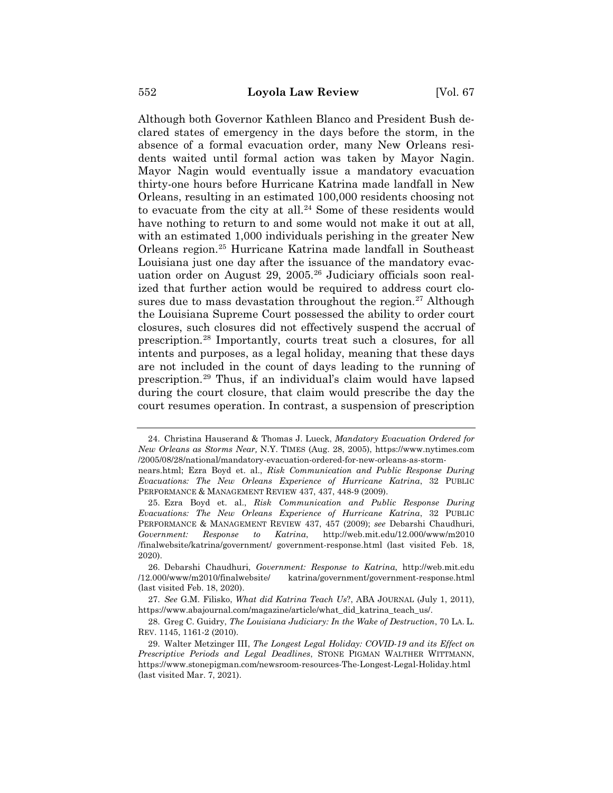Although both Governor Kathleen Blanco and President Bush declared states of emergency in the days before the storm, in the absence of a formal evacuation order, many New Orleans residents waited until formal action was taken by Mayor Nagin. Mayor Nagin would eventually issue a mandatory evacuation thirty-one hours before Hurricane Katrina made landfall in New Orleans, resulting in an estimated 100,000 residents choosing not to evacuate from the city at all.<sup>24</sup> Some of these residents would have nothing to return to and some would not make it out at all, with an estimated 1,000 individuals perishing in the greater New Orleans region.25 Hurricane Katrina made landfall in Southeast Louisiana just one day after the issuance of the mandatory evacuation order on August 29, 2005.<sup>26</sup> Judiciary officials soon realized that further action would be required to address court closures due to mass devastation throughout the region.<sup>27</sup> Although the Louisiana Supreme Court possessed the ability to order court closures, such closures did not effectively suspend the accrual of prescription.28 Importantly, courts treat such a closures, for all intents and purposes, as a legal holiday, meaning that these days are not included in the count of days leading to the running of prescription.29 Thus, if an individual's claim would have lapsed during the court closure, that claim would prescribe the day the court resumes operation. In contrast, a suspension of prescription

<sup>24.</sup> Christina Hauserand & Thomas J. Lueck, *Mandatory Evacuation Ordered for New Orleans as Storms Near,* N.Y. TIMES (Aug. 28, 2005), https://www.nytimes.com /2005/08/28/national/mandatory-evacuation-ordered-for-new-orleans-as-storm-

nears.html; Ezra Boyd et. al., *Risk Communication and Public Response During Evacuations: The New Orleans Experience of Hurricane Katrina*, 32 PUBLIC PERFORMANCE & MANAGEMENT REVIEW 437, 437, 448-9 (2009).

<sup>25.</sup> Ezra Boyd et. al., *Risk Communication and Public Response During Evacuations: The New Orleans Experience of Hurricane Katrina*, 32 PUBLIC PERFORMANCE & MANAGEMENT REVIEW 437, 457 (2009); *see* Debarshi Chaudhuri, *Government: Response to Katrina*, http://web.mit.edu/12.000/www/m2010 /finalwebsite/katrina/government/ government-response.html (last visited Feb. 18, 2020).

<sup>26.</sup> Debarshi Chaudhuri, *Government: Response to Katrina*, http://web.mit.edu /12.000/www/m2010/finalwebsite/ katrina/government/government-response.html (last visited Feb. 18, 2020).

<sup>27.</sup> *See* G.M. Filisko, *What did Katrina Teach Us*?, ABA JOURNAL (July 1, 2011), https://www.abajournal.com/magazine/article/what\_did\_katrina\_teach\_us/.

<sup>28.</sup> Greg C. Guidry, *The Louisiana Judiciary: In the Wake of Destruction*, 70 LA. L. REV. 1145, 1161-2 (2010).

<sup>29.</sup> Walter Metzinger III, *The Longest Legal Holiday: COVID-19 and its Effect on Prescriptive Periods and Legal Deadlines*, STONE PIGMAN WALTHER WITTMANN, https://www.stonepigman.com/newsroom-resources-The-Longest-Legal-Holiday.html (last visited Mar. 7, 2021).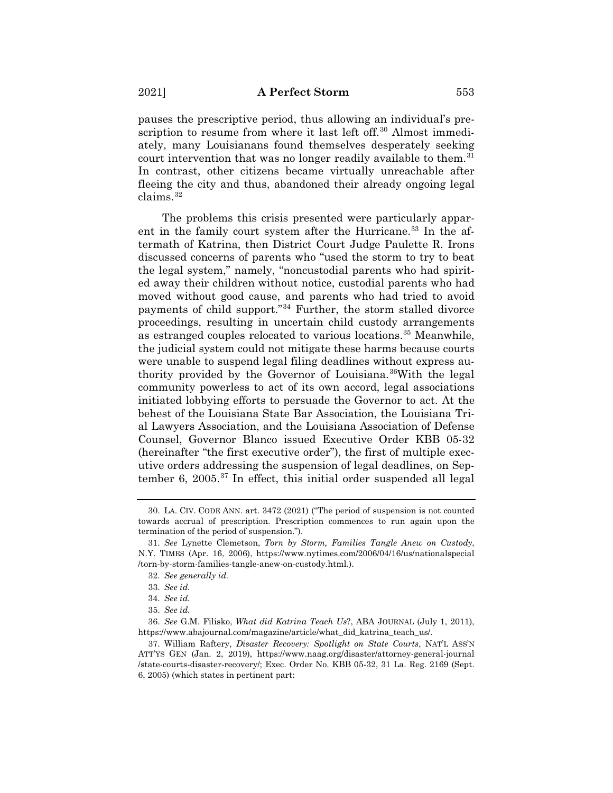pauses the prescriptive period, thus allowing an individual's prescription to resume from where it last left off.<sup>30</sup> Almost immediately, many Louisianans found themselves desperately seeking court intervention that was no longer readily available to them.<sup>31</sup> In contrast, other citizens became virtually unreachable after fleeing the city and thus, abandoned their already ongoing legal claims.32

The problems this crisis presented were particularly apparent in the family court system after the Hurricane.<sup>33</sup> In the aftermath of Katrina, then District Court Judge Paulette R. Irons discussed concerns of parents who "used the storm to try to beat the legal system," namely, "noncustodial parents who had spirited away their children without notice, custodial parents who had moved without good cause, and parents who had tried to avoid payments of child support."34 Further, the storm stalled divorce proceedings, resulting in uncertain child custody arrangements as estranged couples relocated to various locations.<sup>35</sup> Meanwhile, the judicial system could not mitigate these harms because courts were unable to suspend legal filing deadlines without express authority provided by the Governor of Louisiana.36With the legal community powerless to act of its own accord, legal associations initiated lobbying efforts to persuade the Governor to act. At the behest of the Louisiana State Bar Association, the Louisiana Trial Lawyers Association, and the Louisiana Association of Defense Counsel, Governor Blanco issued Executive Order KBB 05-32 (hereinafter "the first executive order"), the first of multiple executive orders addressing the suspension of legal deadlines, on September 6, 2005.37 In effect, this initial order suspended all legal

<sup>30.</sup> LA. CIV. CODE ANN. art. 3472 (2021) ("The period of suspension is not counted towards accrual of prescription. Prescription commences to run again upon the termination of the period of suspension.").

<sup>31.</sup> *See* Lynette Clemetson, *Torn by Storm, Families Tangle Anew on Custody*, N.Y. TIMES (Apr. 16, 2006), https://www.nytimes.com/2006/04/16/us/nationalspecial /torn-by-storm-families-tangle-anew-on-custody.html.).

<sup>32.</sup> *See generally id.*

<sup>33.</sup> *See id.*

<sup>34.</sup> *See id.*

<sup>35.</sup> *See id.*

<sup>36.</sup> *See* G.M. Filisko, *What did Katrina Teach Us*?, ABA JOURNAL (July 1, 2011), https://www.abajournal.com/magazine/article/what\_did\_katrina\_teach\_us/.

<sup>37.</sup> William Raftery, *Disaster Recovery: Spotlight on State Courts*, NAT'L ASS'N ATT'YS GEN (Jan. 2, 2019), https://www.naag.org/disaster/attorney-general-journal /state-courts-disaster-recovery/; Exec. Order No. KBB 05-32, 31 La. Reg. 2169 (Sept. 6, 2005) (which states in pertinent part: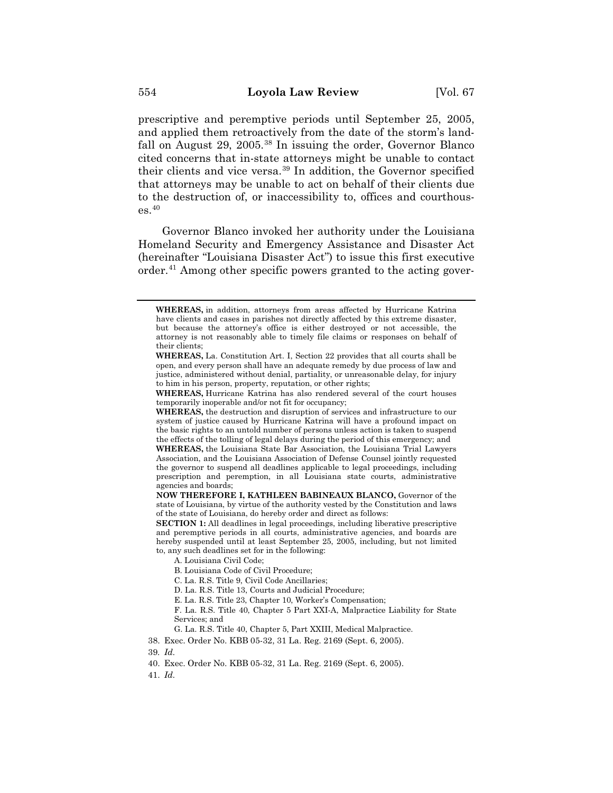prescriptive and peremptive periods until September 25, 2005, and applied them retroactively from the date of the storm's landfall on August 29, 2005.<sup>38</sup> In issuing the order, Governor Blanco cited concerns that in-state attorneys might be unable to contact their clients and vice versa.<sup>39</sup> In addition, the Governor specified that attorneys may be unable to act on behalf of their clients due to the destruction of, or inaccessibility to, offices and courthouses.40

Governor Blanco invoked her authority under the Louisiana Homeland Security and Emergency Assistance and Disaster Act (hereinafter "Louisiana Disaster Act") to issue this first executive  $\alpha$  order.<sup>41</sup> Among other specific powers granted to the acting gover-

A. Louisiana Civil Code;

E. La. R.S. Title 23, Chapter 10, Worker's Compensation;

F. La. R.S. Title 40, Chapter 5 Part XXI-A, Malpractice Liability for State Services; and

G. La. R.S. Title 40, Chapter 5, Part XXIII, Medical Malpractice.

38. Exec. Order No. KBB 05-32, 31 La. Reg. 2169 (Sept. 6, 2005).

39*. Id.*

- 40. Exec. Order No. KBB 05-32, 31 La. Reg. 2169 (Sept. 6, 2005).
- 41. *Id.*

**WHEREAS,** in addition, attorneys from areas affected by Hurricane Katrina have clients and cases in parishes not directly affected by this extreme disaster, but because the attorney's office is either destroyed or not accessible, the attorney is not reasonably able to timely file claims or responses on behalf of their clients;

**WHEREAS,** La. Constitution Art. I, Section 22 provides that all courts shall be open, and every person shall have an adequate remedy by due process of law and justice, administered without denial, partiality, or unreasonable delay, for injury to him in his person, property, reputation, or other rights;

**WHEREAS,** Hurricane Katrina has also rendered several of the court houses temporarily inoperable and/or not fit for occupancy;

**WHEREAS,** the destruction and disruption of services and infrastructure to our system of justice caused by Hurricane Katrina will have a profound impact on the basic rights to an untold number of persons unless action is taken to suspend the effects of the tolling of legal delays during the period of this emergency; and

**WHEREAS,** the Louisiana State Bar Association, the Louisiana Trial Lawyers Association, and the Louisiana Association of Defense Counsel jointly requested the governor to suspend all deadlines applicable to legal proceedings, including prescription and peremption, in all Louisiana state courts, administrative agencies and boards;

**NOW THEREFORE I, KATHLEEN BABINEAUX BLANCO,** Governor of the state of Louisiana, by virtue of the authority vested by the Constitution and laws of the state of Louisiana, do hereby order and direct as follows:

**SECTION 1:** All deadlines in legal proceedings, including liberative prescriptive and peremptive periods in all courts, administrative agencies, and boards are hereby suspended until at least September 25, 2005, including, but not limited to, any such deadlines set for in the following:

B. Louisiana Code of Civil Procedure;

C. La. R.S. Title 9, Civil Code Ancillaries;

D. La. R.S. Title 13, Courts and Judicial Procedure;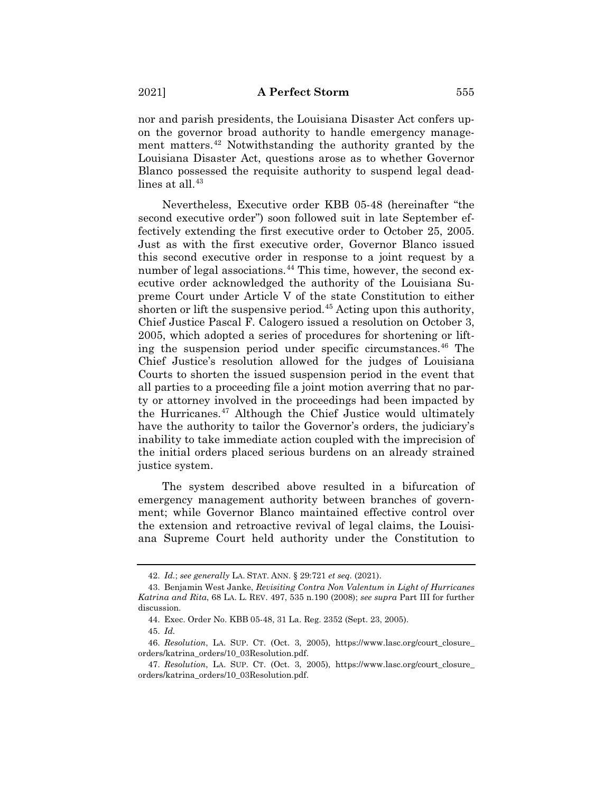nor and parish presidents, the Louisiana Disaster Act confers upon the governor broad authority to handle emergency management matters.42 Notwithstanding the authority granted by the Louisiana Disaster Act, questions arose as to whether Governor Blanco possessed the requisite authority to suspend legal deadlines at all.<sup>43</sup>

Nevertheless, Executive order KBB 05-48 (hereinafter "the second executive order") soon followed suit in late September effectively extending the first executive order to October 25, 2005. Just as with the first executive order, Governor Blanco issued this second executive order in response to a joint request by a number of legal associations.<sup>44</sup> This time, however, the second executive order acknowledged the authority of the Louisiana Supreme Court under Article V of the state Constitution to either shorten or lift the suspensive period.<sup>45</sup> Acting upon this authority, Chief Justice Pascal F. Calogero issued a resolution on October 3, 2005, which adopted a series of procedures for shortening or lifting the suspension period under specific circumstances.46 The Chief Justice's resolution allowed for the judges of Louisiana Courts to shorten the issued suspension period in the event that all parties to a proceeding file a joint motion averring that no party or attorney involved in the proceedings had been impacted by the Hurricanes.<sup>47</sup> Although the Chief Justice would ultimately have the authority to tailor the Governor's orders, the judiciary's inability to take immediate action coupled with the imprecision of the initial orders placed serious burdens on an already strained justice system.

The system described above resulted in a bifurcation of emergency management authority between branches of government; while Governor Blanco maintained effective control over the extension and retroactive revival of legal claims, the Louisiana Supreme Court held authority under the Constitution to

<sup>42.</sup> *Id.*; *see generally* LA. STAT. ANN. § 29:721 *et seq.* (2021).

<sup>43.</sup> Benjamin West Janke, *Revisiting Contra Non Valentum in Light of Hurricanes Katrina and Rita*, 68 LA. L. REV. 497, 535 n.190 (2008); *see supra* Part III for further discussion.

<sup>44.</sup> Exec. Order No. KBB 05-48, 31 La. Reg. 2352 (Sept. 23, 2005).

<sup>45.</sup> *Id.*

<sup>46.</sup> *Resolution*, LA. SUP. CT. (Oct. 3, 2005), https://www.lasc.org/court\_closure\_ orders/katrina\_orders/10\_03Resolution.pdf.

<sup>47.</sup> *Resolution*, LA. SUP. CT. (Oct. 3, 2005), https://www.lasc.org/court\_closure\_ orders/katrina\_orders/10\_03Resolution.pdf.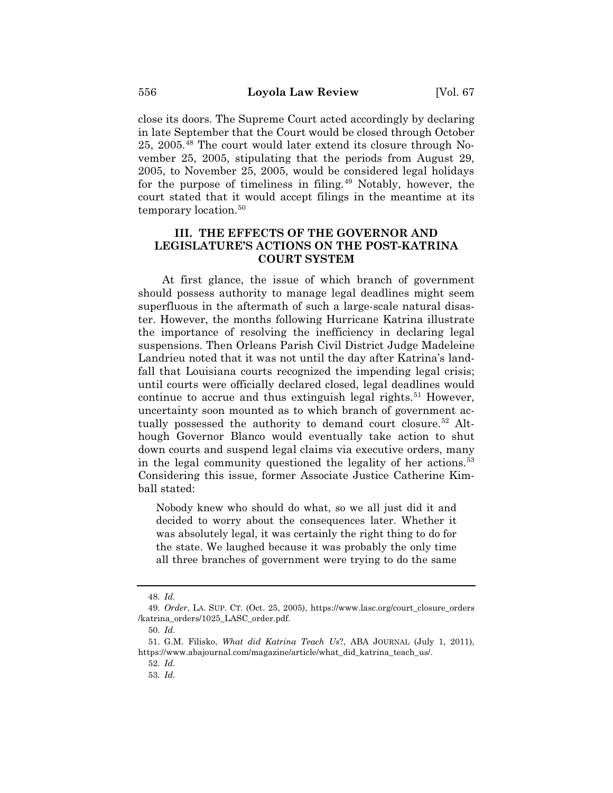close its doors. The Supreme Court acted accordingly by declaring in late September that the Court would be closed through October 25, 2005.48 The court would later extend its closure through November 25, 2005, stipulating that the periods from August 29, 2005, to November 25, 2005, would be considered legal holidays for the purpose of timeliness in filing.<sup>49</sup> Notably, however, the court stated that it would accept filings in the meantime at its temporary location.<sup>50</sup>

## **III. THE EFFECTS OF THE GOVERNOR AND LEGISLATURE'S ACTIONS ON THE POST-KATRINA COURT SYSTEM**

At first glance, the issue of which branch of government should possess authority to manage legal deadlines might seem superfluous in the aftermath of such a large-scale natural disaster. However, the months following Hurricane Katrina illustrate the importance of resolving the inefficiency in declaring legal suspensions. Then Orleans Parish Civil District Judge Madeleine Landrieu noted that it was not until the day after Katrina's landfall that Louisiana courts recognized the impending legal crisis; until courts were officially declared closed, legal deadlines would continue to accrue and thus extinguish legal rights.<sup>51</sup> However, uncertainty soon mounted as to which branch of government actually possessed the authority to demand court closure.<sup>52</sup> Although Governor Blanco would eventually take action to shut down courts and suspend legal claims via executive orders, many in the legal community questioned the legality of her actions.<sup>53</sup> Considering this issue, former Associate Justice Catherine Kimball stated:

Nobody knew who should do what, so we all just did it and decided to worry about the consequences later. Whether it was absolutely legal, it was certainly the right thing to do for the state. We laughed because it was probably the only time all three branches of government were trying to do the same

<sup>48.</sup> *Id.*

<sup>49.</sup> *Order*, LA. SUP. CT. (Oct. 25, 2005), https://www.lasc.org/court\_closure\_orders /katrina\_orders/1025\_LASC\_order.pdf.

<sup>50.</sup> *Id.*

<sup>51.</sup> G.M. Filisko, *What did Katrina Teach Us*?, ABA JOURNAL (July 1, 2011), https://www.abajournal.com/magazine/article/what\_did\_katrina\_teach\_us/.

<sup>52.</sup> *Id.*

<sup>53</sup>*. Id.*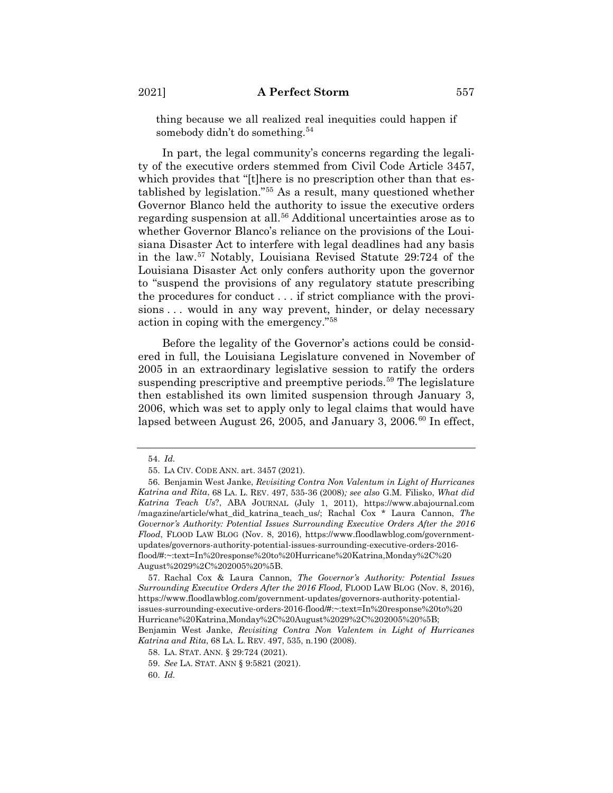thing because we all realized real inequities could happen if somebody didn't do something.<sup>54</sup>

In part, the legal community's concerns regarding the legality of the executive orders stemmed from Civil Code Article 3457, which provides that "[t]here is no prescription other than that established by legislation."55 As a result, many questioned whether Governor Blanco held the authority to issue the executive orders regarding suspension at all.<sup>56</sup> Additional uncertainties arose as to whether Governor Blanco's reliance on the provisions of the Louisiana Disaster Act to interfere with legal deadlines had any basis in the law.57 Notably, Louisiana Revised Statute 29:724 of the Louisiana Disaster Act only confers authority upon the governor to "suspend the provisions of any regulatory statute prescribing the procedures for conduct . . . if strict compliance with the provisions ... would in any way prevent, hinder, or delay necessary action in coping with the emergency."58

Before the legality of the Governor's actions could be considered in full, the Louisiana Legislature convened in November of 2005 in an extraordinary legislative session to ratify the orders suspending prescriptive and preemptive periods.<sup>59</sup> The legislature then established its own limited suspension through January 3, 2006, which was set to apply only to legal claims that would have lapsed between August 26, 2005, and January 3, 2006.<sup>60</sup> In effect,

<sup>54.</sup> *Id.*

<sup>55.</sup> LA CIV. CODE ANN. art. 3457 (2021).

<sup>56.</sup> Benjamin West Janke, *Revisiting Contra Non Valentum in Light of Hurricanes Katrina and Rita*, 68 LA. L. REV. 497, 535-36 (2008)*; see also* G.M. Filisko, *What did Katrina Teach Us*?, ABA JOURNAL (July 1, 2011), https://www.abajournal.com /magazine/article/what\_did\_katrina\_teach\_us/; Rachal Cox \* Laura Cannon, *The Governor's Authority: Potential Issues Surrounding Executive Orders After the 2016 Flood*, FLOOD LAW BLOG (Nov. 8, 2016), https://www.floodlawblog.com/governmentupdates/governors-authority-potential-issues-surrounding-executive-orders-2016 flood/#:~:text=In%20response%20to%20Hurricane%20Katrina,Monday%2C%20 August%2029%2C%202005%20%5B.

<sup>57.</sup> Rachal Cox & Laura Cannon, *The Governor's Authority: Potential Issues Surrounding Executive Orders After the 2016 Flood,* FLOOD LAW BLOG (Nov. 8, 2016), https://www.floodlawblog.com/government-updates/governors-authority-potentialissues-surrounding-executive-orders-2016-flood/#:~:text=In%20response%20to%20 Hurricane%20Katrina,Monday%2C%20August%2029%2C%202005%20%5B; Benjamin West Janke, *Revisiting Contra Non Valentem in Light of Hurricanes Katrina and Rita*, 68 LA. L. REV. 497, 535, n.190 (2008).

<sup>58.</sup> LA. STAT. ANN. § 29:724 (2021).

<sup>59.</sup> *See* LA. STAT. ANN § 9:5821 (2021).

<sup>60.</sup> *Id.*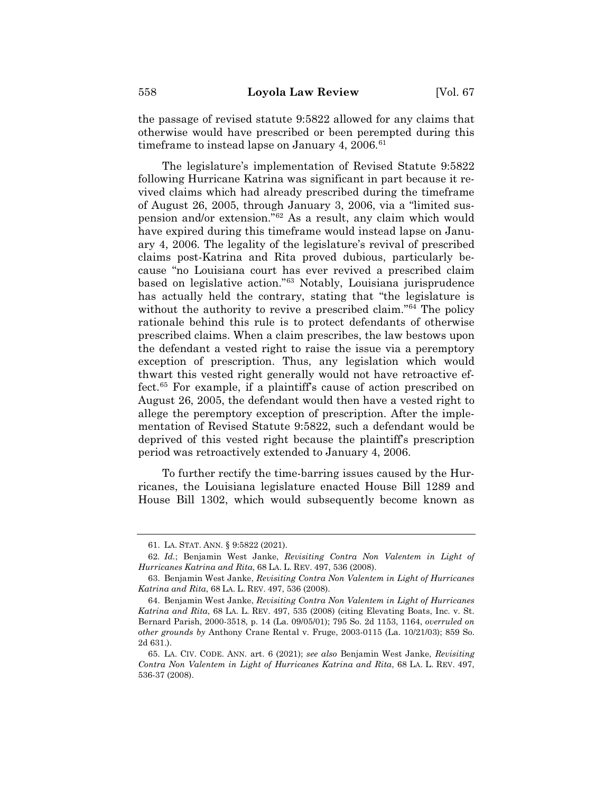the passage of revised statute 9:5822 allowed for any claims that otherwise would have prescribed or been perempted during this time frame to instead lapse on January 4,  $2006<sup>61</sup>$ 

The legislature's implementation of Revised Statute 9:5822 following Hurricane Katrina was significant in part because it revived claims which had already prescribed during the timeframe of August 26, 2005, through January 3, 2006, via a "limited suspension and/or extension."62 As a result, any claim which would have expired during this timeframe would instead lapse on January 4, 2006. The legality of the legislature's revival of prescribed claims post-Katrina and Rita proved dubious, particularly because "no Louisiana court has ever revived a prescribed claim based on legislative action."63 Notably, Louisiana jurisprudence has actually held the contrary, stating that "the legislature is without the authority to revive a prescribed claim."<sup>64</sup> The policy rationale behind this rule is to protect defendants of otherwise prescribed claims. When a claim prescribes, the law bestows upon the defendant a vested right to raise the issue via a peremptory exception of prescription. Thus, any legislation which would thwart this vested right generally would not have retroactive effect.65 For example, if a plaintiff's cause of action prescribed on August 26, 2005, the defendant would then have a vested right to allege the peremptory exception of prescription. After the implementation of Revised Statute 9:5822, such a defendant would be deprived of this vested right because the plaintiff's prescription period was retroactively extended to January 4, 2006.

To further rectify the time-barring issues caused by the Hurricanes, the Louisiana legislature enacted House Bill 1289 and House Bill 1302, which would subsequently become known as

<sup>61.</sup> LA. STAT. ANN. § 9:5822 (2021).

<sup>62</sup>*. Id.*; Benjamin West Janke, *Revisiting Contra Non Valentem in Light of Hurricanes Katrina and Rita*, 68 LA. L. REV. 497, 536 (2008).

<sup>63.</sup> Benjamin West Janke, *Revisiting Contra Non Valentem in Light of Hurricanes Katrina and Rita*, 68 LA. L. REV. 497, 536 (2008).

<sup>64.</sup> Benjamin West Janke, *Revisiting Contra Non Valentem in Light of Hurricanes Katrina and Rita*, 68 LA. L. REV. 497, 535 (2008) (citing Elevating Boats, Inc. v. St. Bernard Parish, 2000-3518, p. 14 (La. 09/05/01); 795 So. 2d 1153, 1164, *overruled on other grounds by* Anthony Crane Rental v. Fruge, 2003-0115 (La. 10/21/03); 859 So. 2d 631.).

<sup>65.</sup> LA. CIV. CODE. ANN. art. 6 (2021); *see also* Benjamin West Janke, *Revisiting Contra Non Valentem in Light of Hurricanes Katrina and Rita*, 68 LA. L. REV. 497, 536-37 (2008).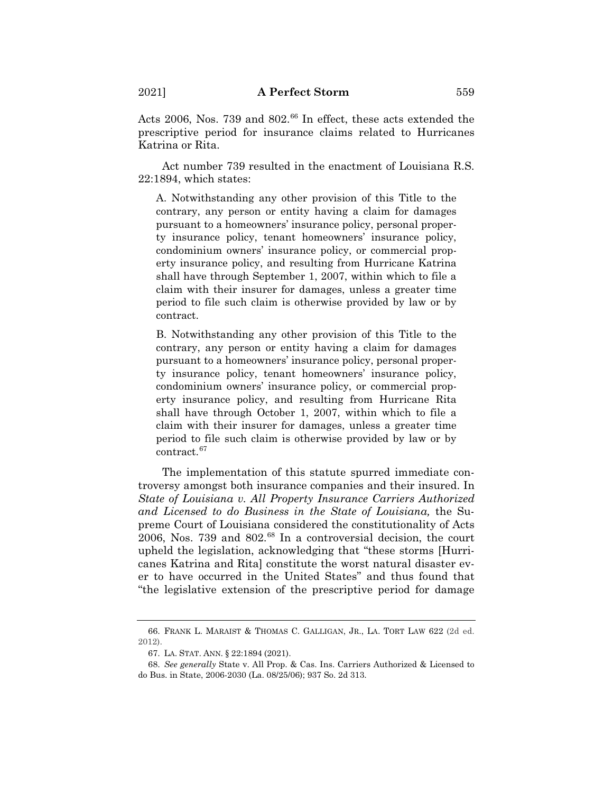Acts 2006, Nos. 739 and 802.<sup>66</sup> In effect, these acts extended the prescriptive period for insurance claims related to Hurricanes Katrina or Rita.

Act number 739 resulted in the enactment of Louisiana R.S. 22:1894, which states:

A. Notwithstanding any other provision of this Title to the contrary, any person or entity having a claim for damages pursuant to a homeowners' insurance policy, personal property insurance policy, tenant homeowners' insurance policy, condominium owners' insurance policy, or commercial property insurance policy, and resulting from Hurricane Katrina shall have through September 1, 2007, within which to file a claim with their insurer for damages, unless a greater time period to file such claim is otherwise provided by law or by contract.

B. Notwithstanding any other provision of this Title to the contrary, any person or entity having a claim for damages pursuant to a homeowners' insurance policy, personal property insurance policy, tenant homeowners' insurance policy, condominium owners' insurance policy, or commercial property insurance policy, and resulting from Hurricane Rita shall have through October 1, 2007, within which to file a claim with their insurer for damages, unless a greater time period to file such claim is otherwise provided by law or by contract.<sup>67</sup>

The implementation of this statute spurred immediate controversy amongst both insurance companies and their insured. In *State of Louisiana v. All Property Insurance Carriers Authorized and Licensed to do Business in the State of Louisiana,* the Supreme Court of Louisiana considered the constitutionality of Acts 2006, Nos. 739 and  $802<sup>68</sup>$  In a controversial decision, the court upheld the legislation, acknowledging that "these storms [Hurricanes Katrina and Rita] constitute the worst natural disaster ever to have occurred in the United States" and thus found that "the legislative extension of the prescriptive period for damage

<sup>66.</sup> FRANK L. MARAIST & THOMAS C. GALLIGAN, JR., LA. TORT LAW 622 (2d ed. 2012).

<sup>67.</sup> LA. STAT. ANN. § 22:1894 (2021).

<sup>68.</sup> *See generally* State v. All Prop. & Cas. Ins. Carriers Authorized & Licensed to do Bus. in State, 2006-2030 (La. 08/25/06); 937 So. 2d 313.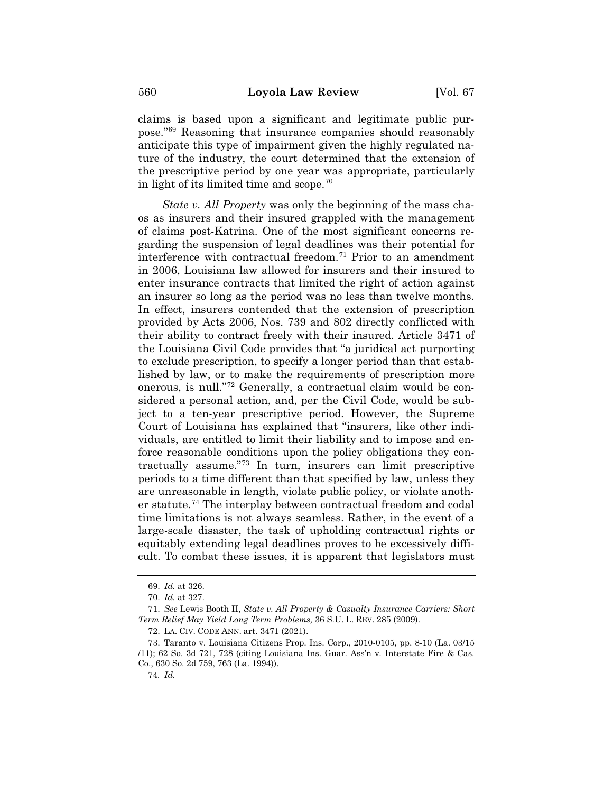claims is based upon a significant and legitimate public purpose."69 Reasoning that insurance companies should reasonably anticipate this type of impairment given the highly regulated nature of the industry, the court determined that the extension of the prescriptive period by one year was appropriate, particularly in light of its limited time and scope.70

*State v. All Property* was only the beginning of the mass chaos as insurers and their insured grappled with the management of claims post-Katrina. One of the most significant concerns regarding the suspension of legal deadlines was their potential for interference with contractual freedom.<sup>71</sup> Prior to an amendment in 2006, Louisiana law allowed for insurers and their insured to enter insurance contracts that limited the right of action against an insurer so long as the period was no less than twelve months. In effect, insurers contended that the extension of prescription provided by Acts 2006, Nos. 739 and 802 directly conflicted with their ability to contract freely with their insured. Article 3471 of the Louisiana Civil Code provides that "a juridical act purporting to exclude prescription, to specify a longer period than that established by law, or to make the requirements of prescription more onerous, is null."72 Generally, a contractual claim would be considered a personal action, and, per the Civil Code, would be subject to a ten-year prescriptive period. However, the Supreme Court of Louisiana has explained that "insurers, like other individuals, are entitled to limit their liability and to impose and enforce reasonable conditions upon the policy obligations they contractually assume."73 In turn, insurers can limit prescriptive periods to a time different than that specified by law, unless they are unreasonable in length, violate public policy, or violate another statute.74 The interplay between contractual freedom and codal time limitations is not always seamless. Rather, in the event of a large-scale disaster, the task of upholding contractual rights or equitably extending legal deadlines proves to be excessively difficult. To combat these issues, it is apparent that legislators must

<sup>69.</sup> *Id.* at 326.

<sup>70.</sup> *Id.* at 327.

<sup>71.</sup> *See* Lewis Booth II, *State v. All Property & Casualty Insurance Carriers: Short Term Relief May Yield Long Term Problems,* 36 S.U. L. REV. 285 (2009).

<sup>72.</sup> LA. CIV. CODE ANN. art. 3471 (2021).

<sup>73.</sup> Taranto v. Louisiana Citizens Prop. Ins. Corp., 2010-0105, pp. 8-10 (La. 03/15 /11); 62 So. 3d 721, 728 (citing Louisiana Ins. Guar. Ass'n v. Interstate Fire & Cas. Co., 630 So. 2d 759, 763 (La. 1994)).

<sup>74</sup>*. Id.*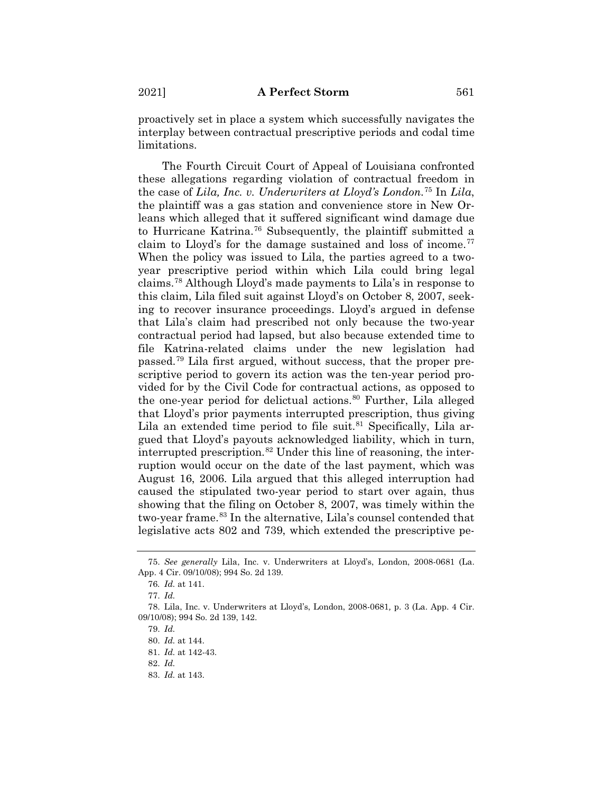proactively set in place a system which successfully navigates the interplay between contractual prescriptive periods and codal time limitations.

The Fourth Circuit Court of Appeal of Louisiana confronted these allegations regarding violation of contractual freedom in the case of *Lila, Inc. v. Underwriters at Lloyd's London.*<sup>75</sup> In *Lila*, the plaintiff was a gas station and convenience store in New Orleans which alleged that it suffered significant wind damage due to Hurricane Katrina.76 Subsequently, the plaintiff submitted a claim to Lloyd's for the damage sustained and loss of income.<sup>77</sup> When the policy was issued to Lila, the parties agreed to a twoyear prescriptive period within which Lila could bring legal claims.78 Although Lloyd's made payments to Lila's in response to this claim, Lila filed suit against Lloyd's on October 8, 2007, seeking to recover insurance proceedings. Lloyd's argued in defense that Lila's claim had prescribed not only because the two-year contractual period had lapsed, but also because extended time to file Katrina-related claims under the new legislation had passed.79 Lila first argued, without success, that the proper prescriptive period to govern its action was the ten-year period provided for by the Civil Code for contractual actions, as opposed to the one-year period for delictual actions.<sup>80</sup> Further, Lila alleged that Lloyd's prior payments interrupted prescription, thus giving Lila an extended time period to file suit.<sup>81</sup> Specifically, Lila argued that Lloyd's payouts acknowledged liability, which in turn, interrupted prescription.<sup>82</sup> Under this line of reasoning, the interruption would occur on the date of the last payment, which was August 16, 2006. Lila argued that this alleged interruption had caused the stipulated two-year period to start over again, thus showing that the filing on October 8, 2007, was timely within the two-year frame.<sup>83</sup> In the alternative, Lila's counsel contended that legislative acts 802 and 739, which extended the prescriptive pe-

<sup>75.</sup> *See generally* Lila, Inc. v. Underwriters at Lloyd's, London, 2008-0681 (La. App. 4 Cir. 09/10/08); 994 So. 2d 139.

<sup>76</sup>*. Id.* at 141.

<sup>77.</sup> *Id.*

<sup>78.</sup> Lila, Inc. v. Underwriters at Lloyd's, London, 2008-0681*,* p. 3 (La. App. 4 Cir. 09/10/08); 994 So. 2d 139, 142.

<sup>79.</sup> *Id.*

<sup>80.</sup> *Id.* at 144.

<sup>81.</sup> *Id.* at 142-43.

<sup>82.</sup> *Id.*

<sup>83.</sup> *Id.* at 143.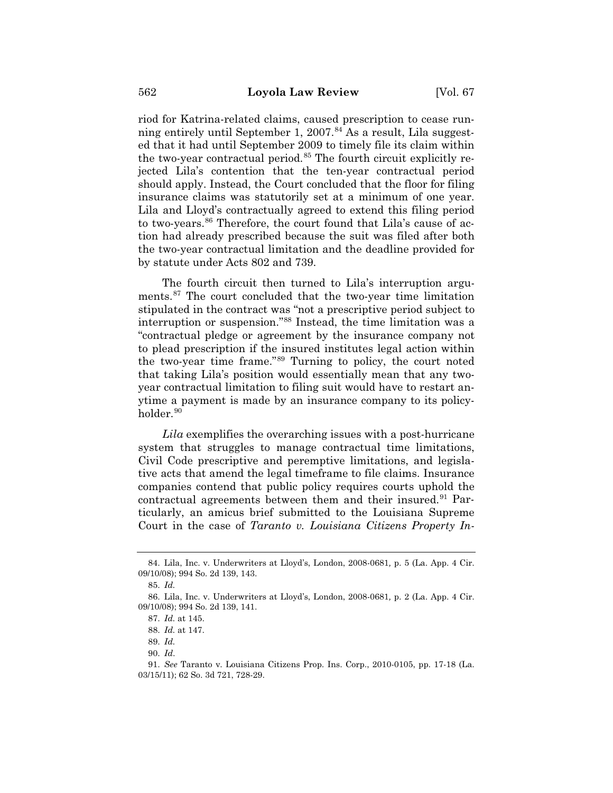riod for Katrina-related claims, caused prescription to cease running entirely until September 1, 2007.<sup>84</sup> As a result, Lila suggested that it had until September 2009 to timely file its claim within the two-year contractual period.<sup>85</sup> The fourth circuit explicitly rejected Lila's contention that the ten-year contractual period should apply. Instead, the Court concluded that the floor for filing insurance claims was statutorily set at a minimum of one year. Lila and Lloyd's contractually agreed to extend this filing period to two-years.<sup>86</sup> Therefore, the court found that Lila's cause of action had already prescribed because the suit was filed after both the two-year contractual limitation and the deadline provided for by statute under Acts 802 and 739.

The fourth circuit then turned to Lila's interruption arguments.87 The court concluded that the two-year time limitation stipulated in the contract was "not a prescriptive period subject to interruption or suspension."88 Instead, the time limitation was a "contractual pledge or agreement by the insurance company not to plead prescription if the insured institutes legal action within the two-year time frame."89 Turning to policy, the court noted that taking Lila's position would essentially mean that any twoyear contractual limitation to filing suit would have to restart anytime a payment is made by an insurance company to its policyholder.<sup>90</sup>

*Lila* exemplifies the overarching issues with a post-hurricane system that struggles to manage contractual time limitations, Civil Code prescriptive and peremptive limitations, and legislative acts that amend the legal timeframe to file claims. Insurance companies contend that public policy requires courts uphold the contractual agreements between them and their insured.<sup>91</sup> Particularly, an amicus brief submitted to the Louisiana Supreme Court in the case of *Taranto v. Louisiana Citizens Property In-*

<sup>84.</sup> Lila, Inc. v. Underwriters at Lloyd's, London, 2008-0681*,* p. 5 (La. App. 4 Cir. 09/10/08); 994 So. 2d 139, 143.

<sup>85.</sup> *Id.*

<sup>86.</sup> Lila, Inc. v. Underwriters at Lloyd's, London, 2008-0681*,* p. 2 (La. App. 4 Cir. 09/10/08); 994 So. 2d 139, 141.

<sup>87.</sup> *Id.* at 145.

<sup>88.</sup> *Id.* at 147.

<sup>89.</sup> *Id.*

<sup>90.</sup> *Id*.

<sup>91.</sup> *See* Taranto v. Louisiana Citizens Prop. Ins. Corp., 2010-0105, pp. 17-18 (La. 03/15/11); 62 So. 3d 721, 728-29.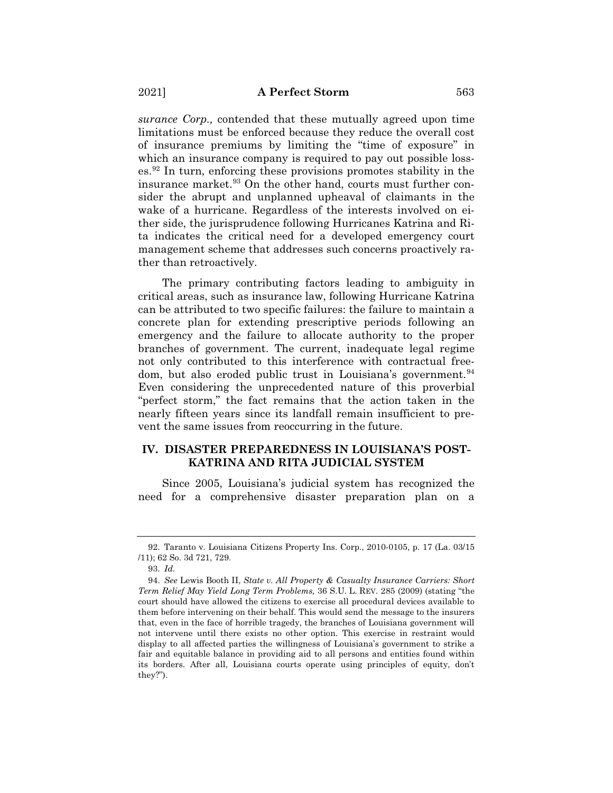*surance Corp.,* contended that these mutually agreed upon time limitations must be enforced because they reduce the overall cost of insurance premiums by limiting the "time of exposure" in which an insurance company is required to pay out possible losses.92 In turn, enforcing these provisions promotes stability in the insurance market.93 On the other hand, courts must further consider the abrupt and unplanned upheaval of claimants in the wake of a hurricane. Regardless of the interests involved on either side, the jurisprudence following Hurricanes Katrina and Rita indicates the critical need for a developed emergency court management scheme that addresses such concerns proactively rather than retroactively.

The primary contributing factors leading to ambiguity in critical areas, such as insurance law, following Hurricane Katrina can be attributed to two specific failures: the failure to maintain a concrete plan for extending prescriptive periods following an emergency and the failure to allocate authority to the proper branches of government. The current, inadequate legal regime not only contributed to this interference with contractual freedom, but also eroded public trust in Louisiana's government.<sup>94</sup> Even considering the unprecedented nature of this proverbial "perfect storm," the fact remains that the action taken in the nearly fifteen years since its landfall remain insufficient to prevent the same issues from reoccurring in the future.

## **IV. DISASTER PREPAREDNESS IN LOUISIANA'S POST-KATRINA AND RITA JUDICIAL SYSTEM**

Since 2005, Louisiana's judicial system has recognized the need for a comprehensive disaster preparation plan on a

<sup>92.</sup> Taranto v. Louisiana Citizens Property Ins. Corp., 2010-0105, p. 17 (La. 03/15 /11); 62 So. 3d 721, 729.

<sup>93.</sup> *Id.*

<sup>94.</sup> *See* Lewis Booth II, *State v. All Property & Casualty Insurance Carriers: Short Term Relief May Yield Long Term Problems,* 36 S.U. L. REV. 285 (2009) (stating "the court should have allowed the citizens to exercise all procedural devices available to them before intervening on their behalf. This would send the message to the insurers that, even in the face of horrible tragedy, the branches of Louisiana government will not intervene until there exists no other option. This exercise in restraint would display to all affected parties the willingness of Louisiana's government to strike a fair and equitable balance in providing aid to all persons and entities found within its borders. After all, Louisiana courts operate using principles of equity, don't they?").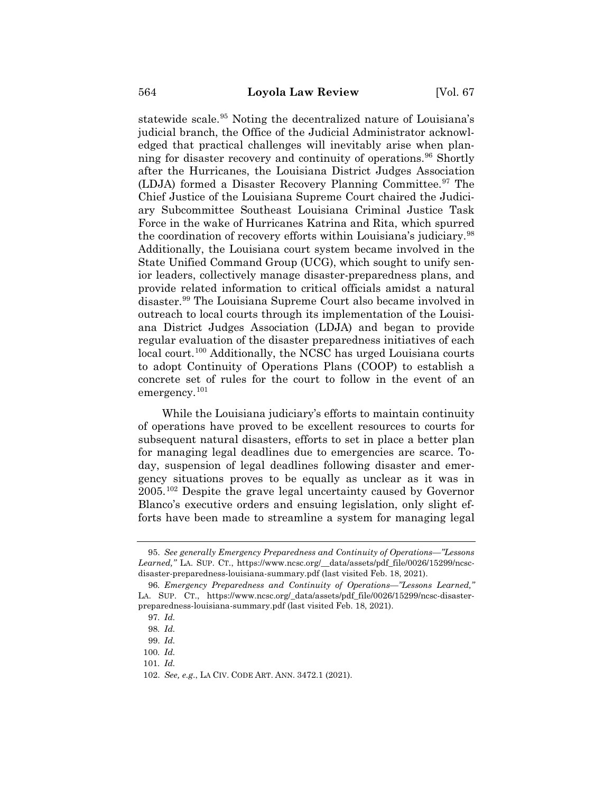statewide scale.<sup>95</sup> Noting the decentralized nature of Louisiana's judicial branch, the Office of the Judicial Administrator acknowledged that practical challenges will inevitably arise when planning for disaster recovery and continuity of operations.<sup>96</sup> Shortly after the Hurricanes, the Louisiana District Judges Association (LDJA) formed a Disaster Recovery Planning Committee.97 The Chief Justice of the Louisiana Supreme Court chaired the Judiciary Subcommittee Southeast Louisiana Criminal Justice Task Force in the wake of Hurricanes Katrina and Rita, which spurred the coordination of recovery efforts within Louisiana's judiciary.98 Additionally, the Louisiana court system became involved in the State Unified Command Group (UCG), which sought to unify senior leaders, collectively manage disaster-preparedness plans, and provide related information to critical officials amidst a natural disaster.99 The Louisiana Supreme Court also became involved in outreach to local courts through its implementation of the Louisiana District Judges Association (LDJA) and began to provide regular evaluation of the disaster preparedness initiatives of each local court.<sup>100</sup> Additionally, the NCSC has urged Louisiana courts to adopt Continuity of Operations Plans (COOP) to establish a concrete set of rules for the court to follow in the event of an emergency.<sup>101</sup>

While the Louisiana judiciary's efforts to maintain continuity of operations have proved to be excellent resources to courts for subsequent natural disasters, efforts to set in place a better plan for managing legal deadlines due to emergencies are scarce. Today, suspension of legal deadlines following disaster and emergency situations proves to be equally as unclear as it was in 2005.102 Despite the grave legal uncertainty caused by Governor Blanco's executive orders and ensuing legislation, only slight efforts have been made to streamline a system for managing legal

<sup>95.</sup> *See generally Emergency Preparedness and Continuity of Operations—"Lessons Learned,"* LA. SUP. CT., https://www.ncsc.org/\_\_data/assets/pdf\_file/0026/15299/ncscdisaster-preparedness-louisiana-summary.pdf (last visited Feb. 18, 2021).

<sup>96</sup>*. Emergency Preparedness and Continuity of Operations—"Lessons Learned,"* LA. SUP. CT., https://www.ncsc.org/\_data/assets/pdf\_file/0026/15299/ncsc-disasterpreparedness-louisiana-summary.pdf (last visited Feb. 18, 2021).

<sup>97</sup>*. Id.*

<sup>98</sup>*. Id.*

<sup>99.</sup> *Id.*

<sup>100</sup>*. Id.*

<sup>101</sup>*. Id.*

<sup>102.</sup> *See, e.g*., LA CIV. CODE ART. ANN. 3472.1 (2021).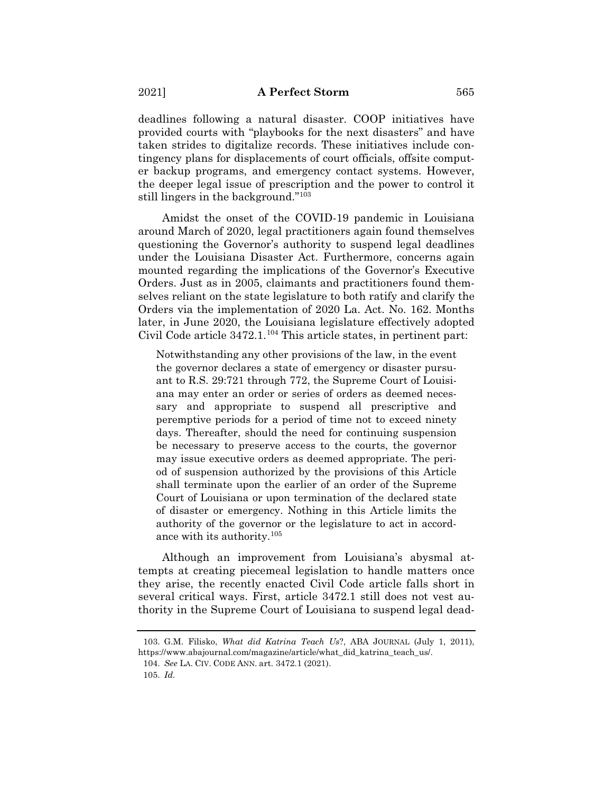deadlines following a natural disaster. COOP initiatives have provided courts with "playbooks for the next disasters" and have taken strides to digitalize records. These initiatives include contingency plans for displacements of court officials, offsite computer backup programs, and emergency contact systems. However, the deeper legal issue of prescription and the power to control it still lingers in the background."103

Amidst the onset of the COVID-19 pandemic in Louisiana around March of 2020, legal practitioners again found themselves questioning the Governor's authority to suspend legal deadlines under the Louisiana Disaster Act. Furthermore, concerns again mounted regarding the implications of the Governor's Executive Orders. Just as in 2005, claimants and practitioners found themselves reliant on the state legislature to both ratify and clarify the Orders via the implementation of 2020 La. Act. No. 162. Months later, in June 2020, the Louisiana legislature effectively adopted Civil Code article  $3472.1$ .<sup>104</sup> This article states, in pertinent part:

Notwithstanding any other provisions of the law, in the event the governor declares a state of emergency or disaster pursuant to R.S. 29:721 through 772, the Supreme Court of Louisiana may enter an order or series of orders as deemed necessary and appropriate to suspend all prescriptive and peremptive periods for a period of time not to exceed ninety days. Thereafter, should the need for continuing suspension be necessary to preserve access to the courts, the governor may issue executive orders as deemed appropriate. The period of suspension authorized by the provisions of this Article shall terminate upon the earlier of an order of the Supreme Court of Louisiana or upon termination of the declared state of disaster or emergency. Nothing in this Article limits the authority of the governor or the legislature to act in accordance with its authority.<sup>105</sup>

Although an improvement from Louisiana's abysmal attempts at creating piecemeal legislation to handle matters once they arise, the recently enacted Civil Code article falls short in several critical ways. First, article 3472.1 still does not vest authority in the Supreme Court of Louisiana to suspend legal dead-

<sup>103.</sup> G.M. Filisko, *What did Katrina Teach Us*?, ABA JOURNAL (July 1, 2011), https://www.abajournal.com/magazine/article/what\_did\_katrina\_teach\_us/.

<sup>104.</sup> *See* LA. CIV. CODE ANN. art. 3472.1 (2021).

<sup>105.</sup> *Id.*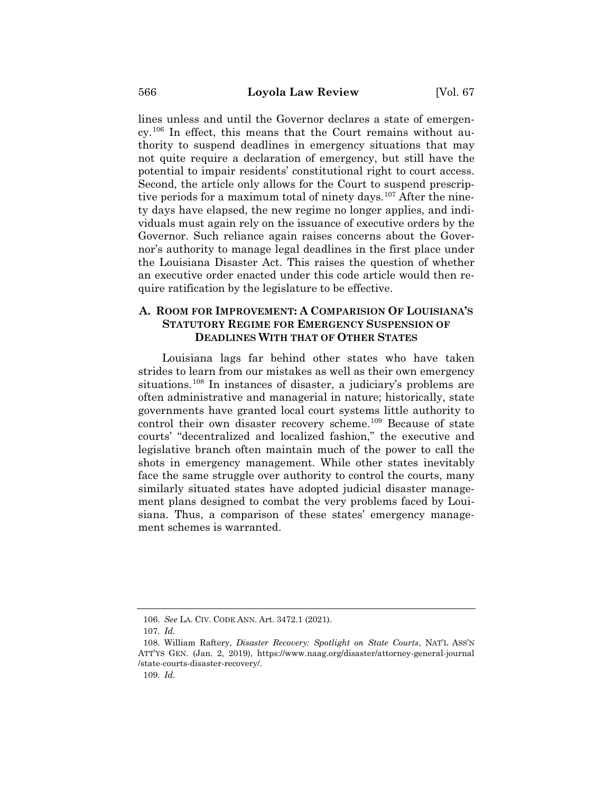lines unless and until the Governor declares a state of emergency.106 In effect, this means that the Court remains without authority to suspend deadlines in emergency situations that may not quite require a declaration of emergency, but still have the potential to impair residents' constitutional right to court access. Second, the article only allows for the Court to suspend prescriptive periods for a maximum total of ninety days.<sup>107</sup> After the ninety days have elapsed, the new regime no longer applies, and individuals must again rely on the issuance of executive orders by the Governor. Such reliance again raises concerns about the Governor's authority to manage legal deadlines in the first place under the Louisiana Disaster Act. This raises the question of whether an executive order enacted under this code article would then require ratification by the legislature to be effective.

# **A. ROOM FOR IMPROVEMENT:ACOMPARISION OF LOUISIANA'S STATUTORY REGIME FOR EMERGENCY SUSPENSION OF DEADLINES WITH THAT OF OTHER STATES**

Louisiana lags far behind other states who have taken strides to learn from our mistakes as well as their own emergency situations.<sup>108</sup> In instances of disaster, a judiciary's problems are often administrative and managerial in nature; historically, state governments have granted local court systems little authority to control their own disaster recovery scheme.<sup>109</sup> Because of state courts' "decentralized and localized fashion," the executive and legislative branch often maintain much of the power to call the shots in emergency management. While other states inevitably face the same struggle over authority to control the courts, many similarly situated states have adopted judicial disaster management plans designed to combat the very problems faced by Louisiana. Thus, a comparison of these states' emergency management schemes is warranted.

<sup>106.</sup> *See* LA. CIV. CODE ANN. Art. 3472.1 (2021).

<sup>107</sup>*. Id.*

<sup>108.</sup> William Raftery, *Disaster Recovery: Spotlight on State Courts*, NAT'L ASS'N ATT'YS GEN. (Jan. 2, 2019), https://www.naag.org/disaster/attorney-general-journal /state-courts-disaster-recovery/.

<sup>109</sup>*. Id.*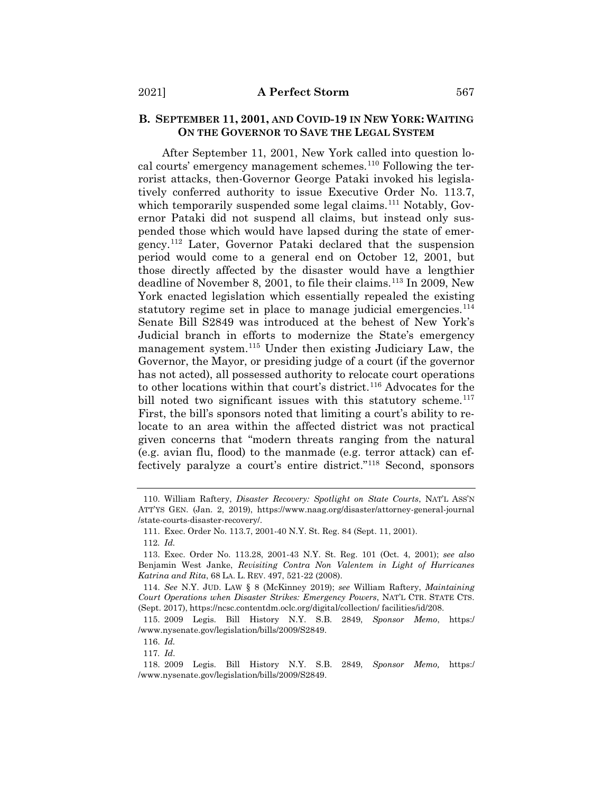## **B. SEPTEMBER 11, 2001, AND COVID-19 IN NEW YORK: WAITING ON THE GOVERNOR TO SAVE THE LEGAL SYSTEM**

After September 11, 2001, New York called into question local courts' emergency management schemes.110 Following the terrorist attacks, then-Governor George Pataki invoked his legislatively conferred authority to issue Executive Order No. 113.7, which temporarily suspended some legal claims.<sup>111</sup> Notably, Governor Pataki did not suspend all claims, but instead only suspended those which would have lapsed during the state of emergency.112 Later, Governor Pataki declared that the suspension period would come to a general end on October 12, 2001, but those directly affected by the disaster would have a lengthier deadline of November 8, 2001, to file their claims.<sup>113</sup> In 2009, New York enacted legislation which essentially repealed the existing statutory regime set in place to manage judicial emergencies.<sup>114</sup> Senate Bill S2849 was introduced at the behest of New York's Judicial branch in efforts to modernize the State's emergency management system.115 Under then existing Judiciary Law, the Governor, the Mayor, or presiding judge of a court (if the governor has not acted), all possessed authority to relocate court operations to other locations within that court's district.116 Advocates for the bill noted two significant issues with this statutory scheme.<sup>117</sup> First, the bill's sponsors noted that limiting a court's ability to relocate to an area within the affected district was not practical given concerns that "modern threats ranging from the natural (e.g. avian flu, flood) to the manmade (e.g. terror attack) can effectively paralyze a court's entire district."118 Second, sponsors

116. *Id.*

117*. Id*.

<sup>110.</sup> William Raftery, *Disaster Recovery: Spotlight on State Courts*, NAT'L ASS'N ATT'YS GEN. (Jan. 2, 2019), https://www.naag.org/disaster/attorney-general-journal /state-courts-disaster-recovery/.

<sup>111.</sup> Exec. Order No. 113.7, 2001-40 N.Y. St. Reg. 84 (Sept. 11, 2001).

<sup>112</sup>*. Id.*

<sup>113.</sup> Exec. Order No. 113.28, 2001-43 N.Y. St. Reg. 101 (Oct. 4, 2001); *see also* Benjamin West Janke, *Revisiting Contra Non Valentem in Light of Hurricanes Katrina and Rita*, 68 LA. L. REV. 497, 521-22 (2008).

<sup>114.</sup> *See* N.Y. JUD. LAW § 8 (McKinney 2019); *see* William Raftery, *Maintaining Court Operations when Disaster Strikes: Emergency Powers*, NAT'L CTR. STATE CTS. (Sept. 2017), https://ncsc.contentdm.oclc.org/digital/collection/ facilities/id/208.

<sup>115. 2009</sup> Legis. Bill History N.Y. S.B. 2849, *Sponsor Memo*, https:/ /www.nysenate.gov/legislation/bills/2009/S2849.

<sup>118. 2009</sup> Legis. Bill History N.Y. S.B. 2849, *Sponsor Memo,* https:/ /www.nysenate.gov/legislation/bills/2009/S2849.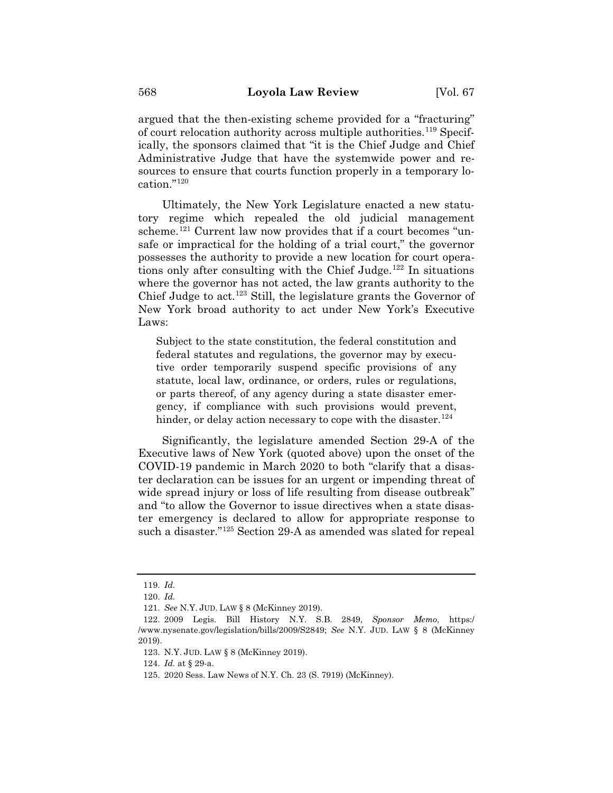argued that the then-existing scheme provided for a "fracturing" of court relocation authority across multiple authorities.119 Specifically, the sponsors claimed that "it is the Chief Judge and Chief Administrative Judge that have the systemwide power and resources to ensure that courts function properly in a temporary location."120

Ultimately, the New York Legislature enacted a new statutory regime which repealed the old judicial management scheme.<sup>121</sup> Current law now provides that if a court becomes "unsafe or impractical for the holding of a trial court," the governor possesses the authority to provide a new location for court operations only after consulting with the Chief Judge. $122$  In situations where the governor has not acted, the law grants authority to the Chief Judge to act.123 Still, the legislature grants the Governor of New York broad authority to act under New York's Executive Laws:

Subject to the state constitution, the federal constitution and federal statutes and regulations, the governor may by executive order temporarily suspend specific provisions of any statute, local law, ordinance, or orders, rules or regulations, or parts thereof, of any agency during a state disaster emergency, if compliance with such provisions would prevent, hinder, or delay action necessary to cope with the disaster.<sup>124</sup>

Significantly, the legislature amended Section 29-A of the Executive laws of New York (quoted above) upon the onset of the COVID-19 pandemic in March 2020 to both "clarify that a disaster declaration can be issues for an urgent or impending threat of wide spread injury or loss of life resulting from disease outbreak" and "to allow the Governor to issue directives when a state disaster emergency is declared to allow for appropriate response to such a disaster."125 Section 29-A as amended was slated for repeal

<sup>119.</sup> *Id.*

<sup>120.</sup> *Id.*

<sup>121.</sup> *See* N.Y. JUD. LAW § 8 (McKinney 2019).

<sup>122. 2009</sup> Legis. Bill History N.Y. S.B. 2849, *Sponsor Memo*, https:/ /www.nysenate.gov/legislation/bills/2009/S2849; *See* N.Y. JUD. LAW § 8 (McKinney 2019).

<sup>123.</sup> N.Y. JUD. LAW § 8 (McKinney 2019).

<sup>124.</sup> *Id.* at § 29-a.

<sup>125. 2020</sup> Sess. Law News of N.Y. Ch. 23 (S. 7919) (McKinney).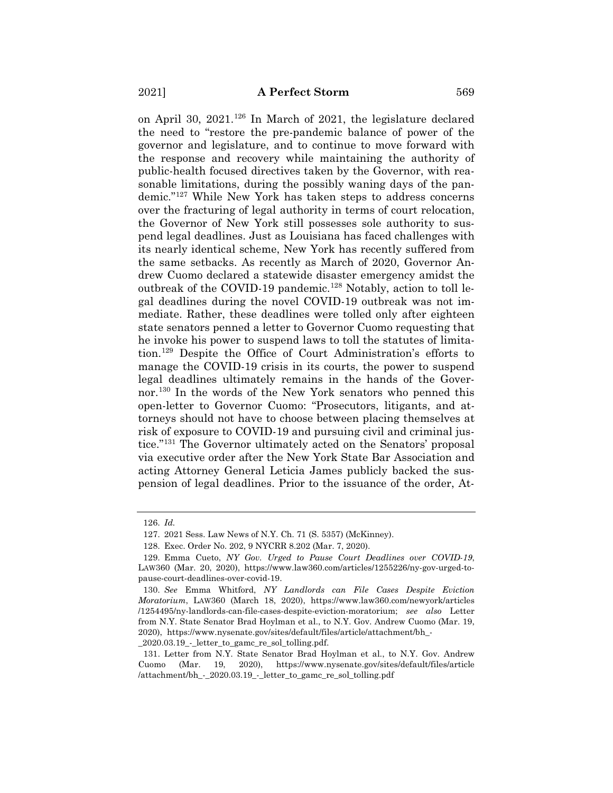on April 30, 2021.126 In March of 2021, the legislature declared the need to "restore the pre-pandemic balance of power of the governor and legislature, and to continue to move forward with the response and recovery while maintaining the authority of public-health focused directives taken by the Governor, with reasonable limitations, during the possibly waning days of the pandemic."127 While New York has taken steps to address concerns over the fracturing of legal authority in terms of court relocation, the Governor of New York still possesses sole authority to suspend legal deadlines. Just as Louisiana has faced challenges with its nearly identical scheme, New York has recently suffered from the same setbacks. As recently as March of 2020, Governor Andrew Cuomo declared a statewide disaster emergency amidst the outbreak of the COVID-19 pandemic.<sup>128</sup> Notably, action to toll legal deadlines during the novel COVID-19 outbreak was not immediate. Rather, these deadlines were tolled only after eighteen state senators penned a letter to Governor Cuomo requesting that he invoke his power to suspend laws to toll the statutes of limitation.129 Despite the Office of Court Administration's efforts to manage the COVID-19 crisis in its courts, the power to suspend legal deadlines ultimately remains in the hands of the Governor.<sup>130</sup> In the words of the New York senators who penned this open-letter to Governor Cuomo: "Prosecutors, litigants, and attorneys should not have to choose between placing themselves at risk of exposure to COVID-19 and pursuing civil and criminal justice."131 The Governor ultimately acted on the Senators' proposal via executive order after the New York State Bar Association and acting Attorney General Leticia James publicly backed the suspension of legal deadlines. Prior to the issuance of the order, At-

<sup>126.</sup> *Id.*

<sup>127. 2021</sup> Sess. Law News of N.Y. Ch. 71 (S. 5357) (McKinney).

<sup>128.</sup> Exec. Order No. 202, 9 NYCRR 8.202 (Mar. 7, 2020).

<sup>129.</sup> Emma Cueto, *NY Gov. Urged to Pause Court Deadlines over COVID-19*, LAW360 (Mar. 20, 2020), https://www.law360.com/articles/1255226/ny-gov-urged-topause-court-deadlines-over-covid-19.

<sup>130.</sup> *See* Emma Whitford, *NY Landlords can File Cases Despite Eviction Moratorium*, LAW360 (March 18, 2020), https://www.law360.com/newyork/articles /1254495/ny-landlords-can-file-cases-despite-eviction-moratorium; *see also* Letter from N.Y. State Senator Brad Hoylman et al., to N.Y. Gov. Andrew Cuomo (Mar. 19, 2020), https://www.nysenate.gov/sites/default/files/article/attachment/bh\_- \_2020.03.19\_-\_letter\_to\_gamc\_re\_sol\_tolling.pdf.

<sup>131.</sup> Letter from N.Y. State Senator Brad Hoylman et al., to N.Y. Gov. Andrew Cuomo (Mar. 19, 2020), https://www.nysenate.gov/sites/default/files/article /attachment/bh\_-\_2020.03.19\_-\_letter\_to\_gamc\_re\_sol\_tolling.pdf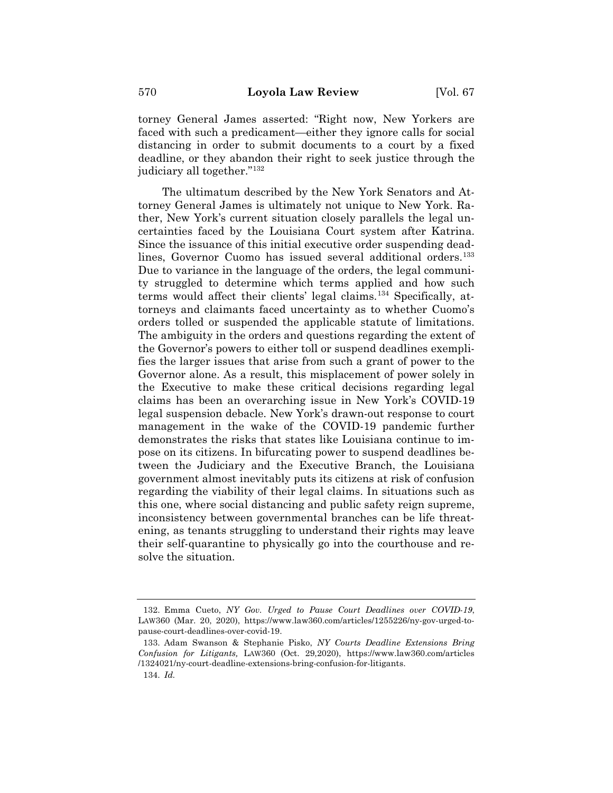torney General James asserted: "Right now, New Yorkers are faced with such a predicament—either they ignore calls for social distancing in order to submit documents to a court by a fixed deadline, or they abandon their right to seek justice through the judiciary all together."132

The ultimatum described by the New York Senators and Attorney General James is ultimately not unique to New York. Rather, New York's current situation closely parallels the legal uncertainties faced by the Louisiana Court system after Katrina. Since the issuance of this initial executive order suspending deadlines, Governor Cuomo has issued several additional orders.<sup>133</sup> Due to variance in the language of the orders, the legal community struggled to determine which terms applied and how such terms would affect their clients' legal claims.134 Specifically, attorneys and claimants faced uncertainty as to whether Cuomo's orders tolled or suspended the applicable statute of limitations. The ambiguity in the orders and questions regarding the extent of the Governor's powers to either toll or suspend deadlines exemplifies the larger issues that arise from such a grant of power to the Governor alone. As a result, this misplacement of power solely in the Executive to make these critical decisions regarding legal claims has been an overarching issue in New York's COVID-19 legal suspension debacle. New York's drawn-out response to court management in the wake of the COVID-19 pandemic further demonstrates the risks that states like Louisiana continue to impose on its citizens. In bifurcating power to suspend deadlines between the Judiciary and the Executive Branch, the Louisiana government almost inevitably puts its citizens at risk of confusion regarding the viability of their legal claims. In situations such as this one, where social distancing and public safety reign supreme, inconsistency between governmental branches can be life threatening, as tenants struggling to understand their rights may leave their self-quarantine to physically go into the courthouse and resolve the situation.

<sup>132.</sup> Emma Cueto, *NY Gov. Urged to Pause Court Deadlines over COVID-19*, LAW360 (Mar. 20, 2020), https://www.law360.com/articles/1255226/ny-gov-urged-topause-court-deadlines-over-covid-19.

<sup>133.</sup> Adam Swanson & Stephanie Pisko, *NY Courts Deadline Extensions Bring Confusion for Litigants,* LAW360 (Oct. 29,2020), https://www.law360.com/articles /1324021/ny-court-deadline-extensions-bring-confusion-for-litigants. 134. *Id.*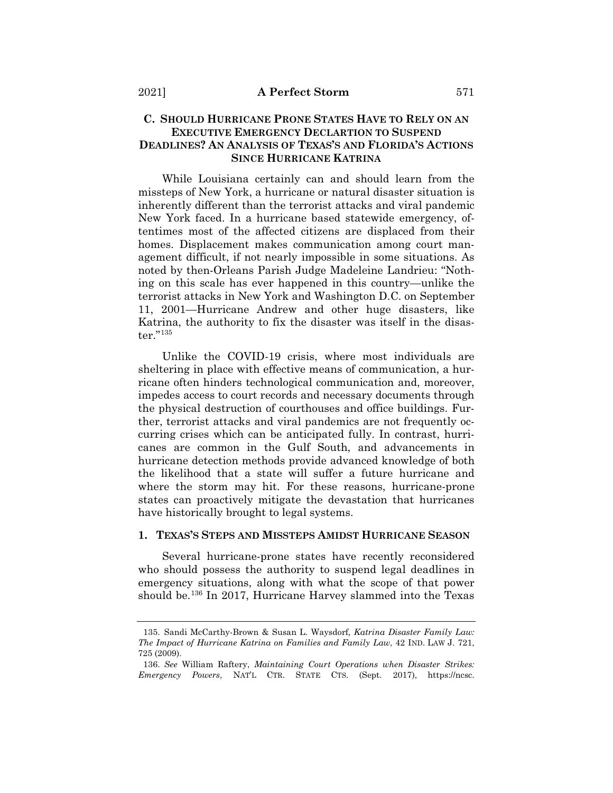## **C. SHOULD HURRICANE PRONE STATES HAVE TO RELY ON AN EXECUTIVE EMERGENCY DECLARTION TO SUSPEND DEADLINES? AN ANALYSIS OF TEXAS'S AND FLORIDA'S ACTIONS SINCE HURRICANE KATRINA**

While Louisiana certainly can and should learn from the missteps of New York, a hurricane or natural disaster situation is inherently different than the terrorist attacks and viral pandemic New York faced. In a hurricane based statewide emergency, oftentimes most of the affected citizens are displaced from their homes. Displacement makes communication among court management difficult, if not nearly impossible in some situations. As noted by then-Orleans Parish Judge Madeleine Landrieu: "Nothing on this scale has ever happened in this country—unlike the terrorist attacks in New York and Washington D.C. on September 11, 2001—Hurricane Andrew and other huge disasters, like Katrina, the authority to fix the disaster was itself in the disaster."135

Unlike the COVID-19 crisis, where most individuals are sheltering in place with effective means of communication, a hurricane often hinders technological communication and, moreover, impedes access to court records and necessary documents through the physical destruction of courthouses and office buildings. Further, terrorist attacks and viral pandemics are not frequently occurring crises which can be anticipated fully. In contrast, hurricanes are common in the Gulf South, and advancements in hurricane detection methods provide advanced knowledge of both the likelihood that a state will suffer a future hurricane and where the storm may hit. For these reasons, hurricane-prone states can proactively mitigate the devastation that hurricanes have historically brought to legal systems.

#### **1. TEXAS'S STEPS AND MISSTEPS AMIDST HURRICANE SEASON**

Several hurricane-prone states have recently reconsidered who should possess the authority to suspend legal deadlines in emergency situations, along with what the scope of that power should be.136 In 2017, Hurricane Harvey slammed into the Texas

<sup>135.</sup> Sandi McCarthy-Brown & Susan L. Waysdorf*, Katrina Disaster Family Law: The Impact of Hurricane Katrina on Families and Family Law*, 42 IND. LAW J. 721, 725 (2009).

<sup>136.</sup> *See* William Raftery, *Maintaining Court Operations when Disaster Strikes: Emergency Powers*, NAT'L CTR. STATE CTS. (Sept. 2017), https://ncsc.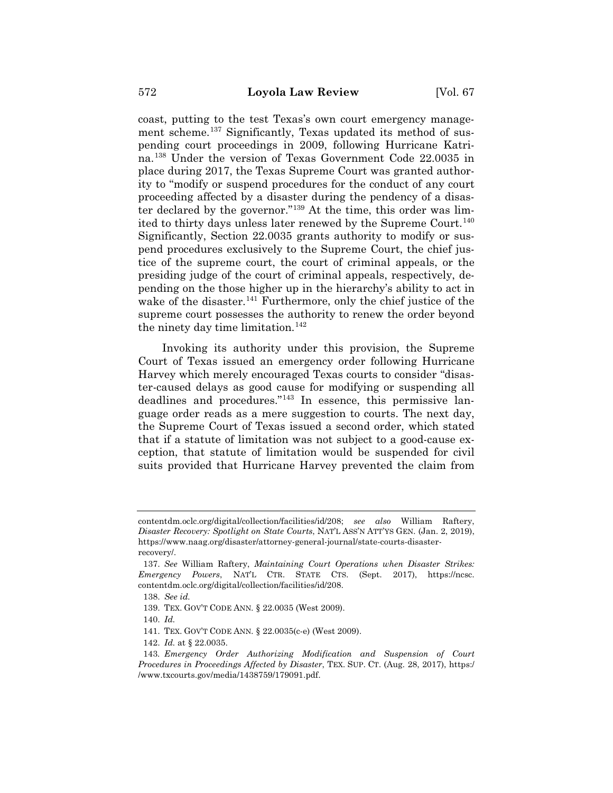coast, putting to the test Texas's own court emergency management scheme.<sup>137</sup> Significantly, Texas updated its method of suspending court proceedings in 2009, following Hurricane Katrina.138 Under the version of Texas Government Code 22.0035 in place during 2017, the Texas Supreme Court was granted authority to "modify or suspend procedures for the conduct of any court proceeding affected by a disaster during the pendency of a disaster declared by the governor."139 At the time, this order was limited to thirty days unless later renewed by the Supreme Court.<sup>140</sup> Significantly, Section 22.0035 grants authority to modify or suspend procedures exclusively to the Supreme Court, the chief justice of the supreme court, the court of criminal appeals, or the presiding judge of the court of criminal appeals, respectively, depending on the those higher up in the hierarchy's ability to act in wake of the disaster.<sup>141</sup> Furthermore, only the chief justice of the supreme court possesses the authority to renew the order beyond the ninety day time limitation.<sup>142</sup>

Invoking its authority under this provision, the Supreme Court of Texas issued an emergency order following Hurricane Harvey which merely encouraged Texas courts to consider "disaster-caused delays as good cause for modifying or suspending all deadlines and procedures."143 In essence, this permissive language order reads as a mere suggestion to courts. The next day, the Supreme Court of Texas issued a second order, which stated that if a statute of limitation was not subject to a good-cause exception, that statute of limitation would be suspended for civil suits provided that Hurricane Harvey prevented the claim from

contentdm.oclc.org/digital/collection/facilities/id/208; *see also* William Raftery, *Disaster Recovery: Spotlight on State Courts*, NAT'L ASS'N ATT'YS GEN. (Jan. 2, 2019), https://www.naag.org/disaster/attorney-general-journal/state-courts-disasterrecovery/.

<sup>137.</sup> *See* William Raftery, *Maintaining Court Operations when Disaster Strikes: Emergency Powers*, NAT'L CTR. STATE CTS. (Sept. 2017), https://ncsc. contentdm.oclc.org/digital/collection/facilities/id/208.

<sup>138.</sup> *See id.*

<sup>139.</sup> TEX. GOV'T CODE ANN. § 22.0035 (West 2009).

<sup>140.</sup> *Id.*

<sup>141.</sup> TEX. GOV'T CODE ANN. § 22.0035(c-e) (West 2009).

<sup>142.</sup> *Id.* at § 22.0035.

<sup>143</sup>*. Emergency Order Authorizing Modification and Suspension of Court Procedures in Proceedings Affected by Disaster*, TEX. SUP. CT. (Aug. 28, 2017), https:/ /www.txcourts.gov/media/1438759/179091.pdf.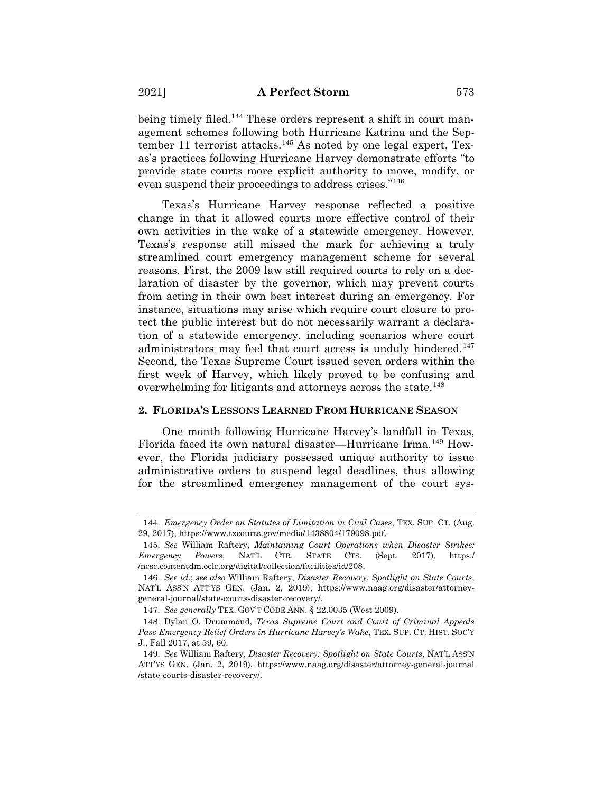being timely filed.<sup>144</sup> These orders represent a shift in court management schemes following both Hurricane Katrina and the September 11 terrorist attacks.<sup>145</sup> As noted by one legal expert, Texas's practices following Hurricane Harvey demonstrate efforts "to provide state courts more explicit authority to move, modify, or even suspend their proceedings to address crises."146

Texas's Hurricane Harvey response reflected a positive change in that it allowed courts more effective control of their own activities in the wake of a statewide emergency. However, Texas's response still missed the mark for achieving a truly streamlined court emergency management scheme for several reasons. First, the 2009 law still required courts to rely on a declaration of disaster by the governor, which may prevent courts from acting in their own best interest during an emergency. For instance, situations may arise which require court closure to protect the public interest but do not necessarily warrant a declaration of a statewide emergency, including scenarios where court administrators may feel that court access is unduly hindered.<sup>147</sup> Second, the Texas Supreme Court issued seven orders within the first week of Harvey, which likely proved to be confusing and overwhelming for litigants and attorneys across the state.<sup>148</sup>

#### **2. FLORIDA'S LESSONS LEARNED FROM HURRICANE SEASON**

One month following Hurricane Harvey's landfall in Texas, Florida faced its own natural disaster—Hurricane Irma.<sup>149</sup> However, the Florida judiciary possessed unique authority to issue administrative orders to suspend legal deadlines, thus allowing for the streamlined emergency management of the court sys-

<sup>144.</sup> *Emergency Order on Statutes of Limitation in Civil Cases*, TEX. SUP. CT. (Aug. 29, 2017), https://www.txcourts.gov/media/1438804/179098.pdf.

<sup>145.</sup> *See* William Raftery, *Maintaining Court Operations when Disaster Strikes: Emergency Powers*, NAT'L CTR. STATE CTS. (Sept. 2017), https:/ /ncsc.contentdm.oclc.org/digital/collection/facilities/id/208.

<sup>146.</sup> *See id.*; *see also* William Raftery, *Disaster Recovery: Spotlight on State Courts*, NAT'L ASS'N ATT'YS GEN. (Jan. 2, 2019), https://www.naag.org/disaster/attorneygeneral-journal/state-courts-disaster-recovery/.

<sup>147.</sup> *See generally* TEX. GOV'T CODE ANN. § 22.0035 (West 2009).

<sup>148.</sup> Dylan O. Drummond, *Texas Supreme Court and Court of Criminal Appeals Pass Emergency Relief Orders in Hurricane Harvey's Wake*, TEX. SUP. CT. HIST. SOC'Y J., Fall 2017, at 59, 60.

<sup>149.</sup> *See* William Raftery, *Disaster Recovery: Spotlight on State Courts*, NAT'L ASS'N ATT'YS GEN. (Jan. 2, 2019), https://www.naag.org/disaster/attorney-general-journal /state-courts-disaster-recovery/.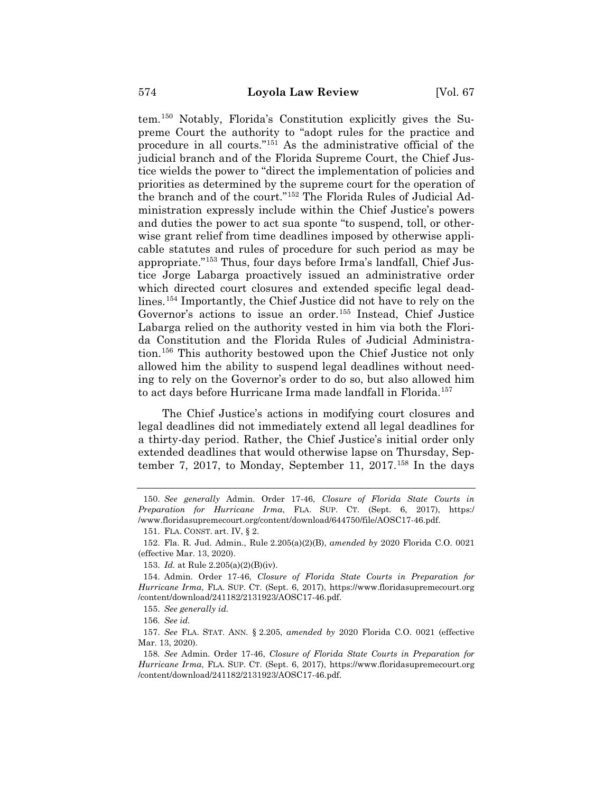tem.150 Notably, Florida's Constitution explicitly gives the Supreme Court the authority to "adopt rules for the practice and procedure in all courts."151 As the administrative official of the judicial branch and of the Florida Supreme Court, the Chief Justice wields the power to "direct the implementation of policies and priorities as determined by the supreme court for the operation of the branch and of the court."152 The Florida Rules of Judicial Administration expressly include within the Chief Justice's powers and duties the power to act sua sponte "to suspend, toll, or otherwise grant relief from time deadlines imposed by otherwise applicable statutes and rules of procedure for such period as may be appropriate."153 Thus, four days before Irma's landfall, Chief Justice Jorge Labarga proactively issued an administrative order which directed court closures and extended specific legal deadlines.<sup>154</sup> Importantly, the Chief Justice did not have to rely on the Governor's actions to issue an order.<sup>155</sup> Instead, Chief Justice Labarga relied on the authority vested in him via both the Florida Constitution and the Florida Rules of Judicial Administration.156 This authority bestowed upon the Chief Justice not only allowed him the ability to suspend legal deadlines without needing to rely on the Governor's order to do so, but also allowed him to act days before Hurricane Irma made landfall in Florida.<sup>157</sup>

The Chief Justice's actions in modifying court closures and legal deadlines did not immediately extend all legal deadlines for a thirty-day period. Rather, the Chief Justice's initial order only extended deadlines that would otherwise lapse on Thursday, September 7, 2017, to Monday, September 11, 2017.<sup>158</sup> In the days

<sup>150.</sup> *See generally* Admin. Order 17-46, *Closure of Florida State Courts in Preparation for Hurricane Irma*, FLA. SUP. CT. (Sept. 6, 2017), https:/ /www.floridasupremecourt.org/content/download/644750/file/AOSC17-46.pdf.

<sup>151.</sup> FLA. CONST. art. IV, § 2.

<sup>152.</sup> Fla. R. Jud. Admin., Rule 2.205(a)(2)(B), *amended by* 2020 Florida C.O. 0021 (effective Mar. 13, 2020).

<sup>153.</sup> *Id.* at Rule 2.205(a)(2)(B)(iv).

<sup>154.</sup> Admin. Order 17-46, *Closure of Florida State Courts in Preparation for Hurricane Irma*, FLA. SUP. CT. (Sept. 6, 2017), https://www.floridasupremecourt.org /content/download/241182/2131923/AOSC17-46.pdf.

<sup>155.</sup> *See generally id.*

<sup>156</sup>*. See id.*

<sup>157.</sup> *See* FLA. STAT. ANN. § 2.205, *amended by* 2020 Florida C.O. 0021 (effective Mar. 13, 2020).

<sup>158</sup>*. See* Admin. Order 17-46, *Closure of Florida State Courts in Preparation for Hurricane Irma*, FLA. SUP. CT. (Sept. 6, 2017), https://www.floridasupremecourt.org /content/download/241182/2131923/AOSC17-46.pdf.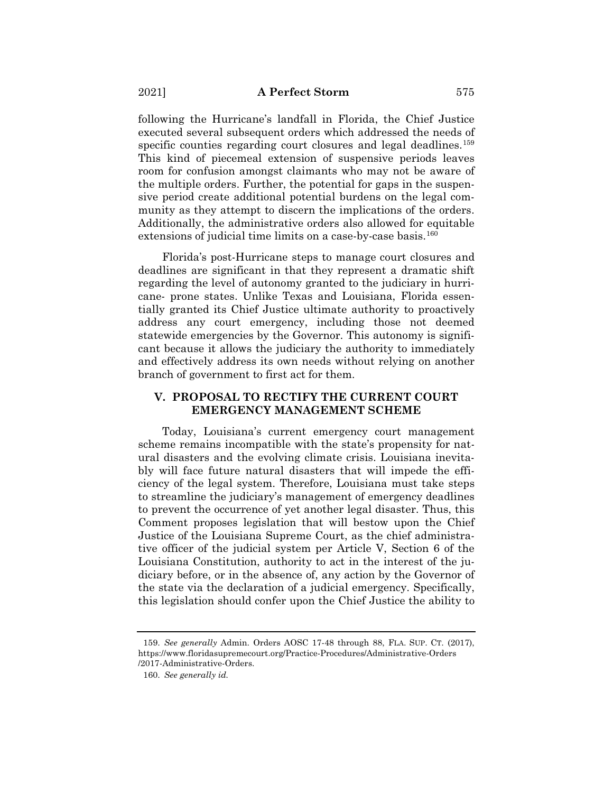following the Hurricane's landfall in Florida, the Chief Justice executed several subsequent orders which addressed the needs of specific counties regarding court closures and legal deadlines.<sup>159</sup> This kind of piecemeal extension of suspensive periods leaves room for confusion amongst claimants who may not be aware of the multiple orders. Further, the potential for gaps in the suspensive period create additional potential burdens on the legal community as they attempt to discern the implications of the orders. Additionally, the administrative orders also allowed for equitable extensions of judicial time limits on a case-by-case basis.<sup>160</sup>

Florida's post-Hurricane steps to manage court closures and deadlines are significant in that they represent a dramatic shift regarding the level of autonomy granted to the judiciary in hurricane- prone states. Unlike Texas and Louisiana, Florida essentially granted its Chief Justice ultimate authority to proactively address any court emergency, including those not deemed statewide emergencies by the Governor. This autonomy is significant because it allows the judiciary the authority to immediately and effectively address its own needs without relying on another branch of government to first act for them.

## **V. PROPOSAL TO RECTIFY THE CURRENT COURT EMERGENCY MANAGEMENT SCHEME**

Today, Louisiana's current emergency court management scheme remains incompatible with the state's propensity for natural disasters and the evolving climate crisis. Louisiana inevitably will face future natural disasters that will impede the efficiency of the legal system. Therefore, Louisiana must take steps to streamline the judiciary's management of emergency deadlines to prevent the occurrence of yet another legal disaster. Thus, this Comment proposes legislation that will bestow upon the Chief Justice of the Louisiana Supreme Court, as the chief administrative officer of the judicial system per Article V, Section 6 of the Louisiana Constitution, authority to act in the interest of the judiciary before, or in the absence of, any action by the Governor of the state via the declaration of a judicial emergency. Specifically, this legislation should confer upon the Chief Justice the ability to

<sup>159.</sup> *See generally* Admin. Orders AOSC 17-48 through 88, FLA. SUP. CT. (2017), https://www.floridasupremecourt.org/Practice-Procedures/Administrative-Orders /2017-Administrative-Orders.

<sup>160.</sup> *See generally id.*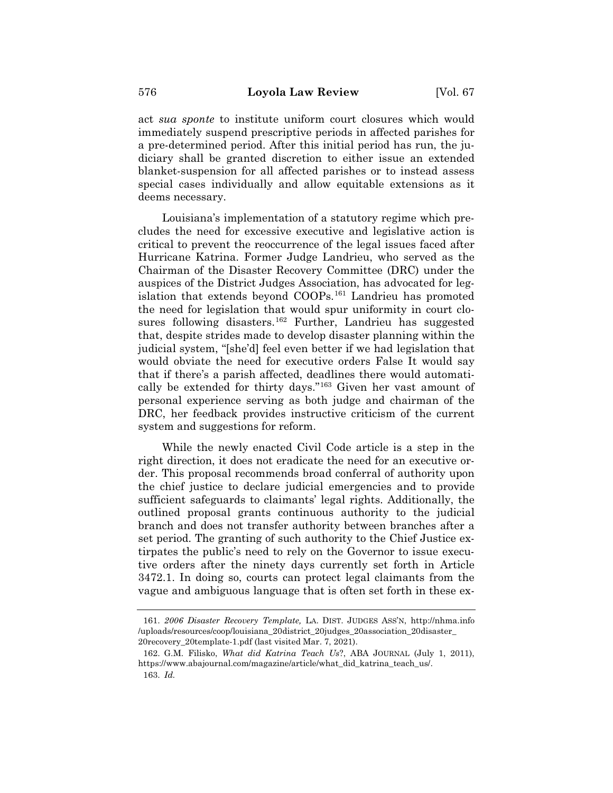act *sua sponte* to institute uniform court closures which would immediately suspend prescriptive periods in affected parishes for a pre-determined period. After this initial period has run, the judiciary shall be granted discretion to either issue an extended blanket-suspension for all affected parishes or to instead assess special cases individually and allow equitable extensions as it deems necessary.

Louisiana's implementation of a statutory regime which precludes the need for excessive executive and legislative action is critical to prevent the reoccurrence of the legal issues faced after Hurricane Katrina. Former Judge Landrieu, who served as the Chairman of the Disaster Recovery Committee (DRC) under the auspices of the District Judges Association, has advocated for legislation that extends beyond COOPs.<sup>161</sup> Landrieu has promoted the need for legislation that would spur uniformity in court closures following disasters.<sup>162</sup> Further, Landrieu has suggested that, despite strides made to develop disaster planning within the judicial system, "[she'd] feel even better if we had legislation that would obviate the need for executive orders False It would say that if there's a parish affected, deadlines there would automatically be extended for thirty days."163 Given her vast amount of personal experience serving as both judge and chairman of the DRC, her feedback provides instructive criticism of the current system and suggestions for reform.

While the newly enacted Civil Code article is a step in the right direction, it does not eradicate the need for an executive order. This proposal recommends broad conferral of authority upon the chief justice to declare judicial emergencies and to provide sufficient safeguards to claimants' legal rights. Additionally, the outlined proposal grants continuous authority to the judicial branch and does not transfer authority between branches after a set period. The granting of such authority to the Chief Justice extirpates the public's need to rely on the Governor to issue executive orders after the ninety days currently set forth in Article 3472.1. In doing so, courts can protect legal claimants from the vague and ambiguous language that is often set forth in these ex-

<sup>161.</sup> *2006 Disaster Recovery Template,* LA. DIST. JUDGES ASS'N, http://nhma.info /uploads/resources/coop/louisiana\_20district\_20judges\_20association\_20disaster\_ 20recovery\_20template-1.pdf (last visited Mar. 7, 2021).

<sup>162.</sup> G.M. Filisko, *What did Katrina Teach Us*?, ABA JOURNAL (July 1, 2011), https://www.abajournal.com/magazine/article/what\_did\_katrina\_teach\_us/. 163. *Id.*